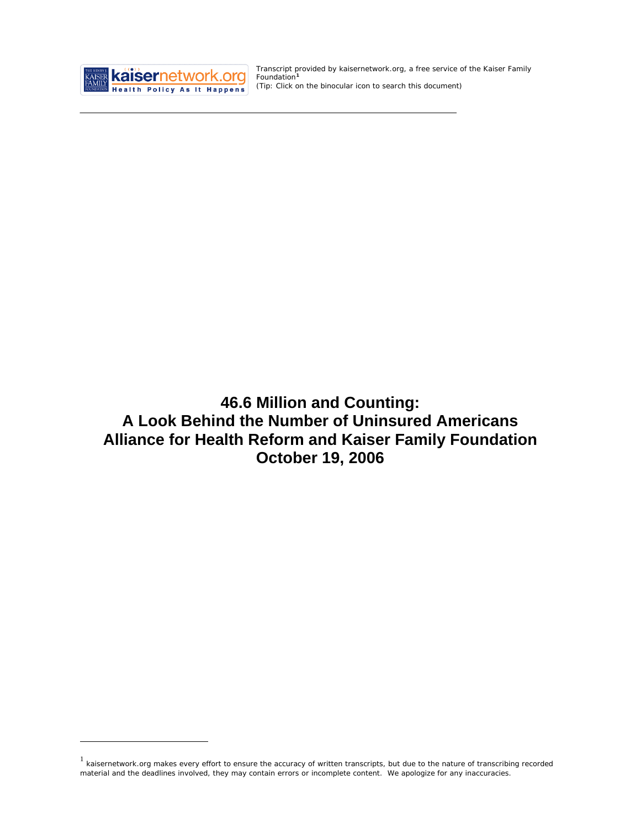

<u>.</u>

Transcript provided by kaisernetwork.org, a free service of the Kaiser Family Foundation**[1](#page-0-0)** *(Tip: Click on the binocular icon to search this document)* 

**46.6 Million and Counting: A Look Behind the Number of Uninsured Americans Alliance for Health Reform and Kaiser Family Foundation October 19, 2006** 

<span id="page-0-0"></span> $1$  kaisernetwork.org makes every effort to ensure the accuracy of written transcripts, but due to the nature of transcribing recorded material and the deadlines involved, they may contain errors or incomplete content. We apologize for any inaccuracies.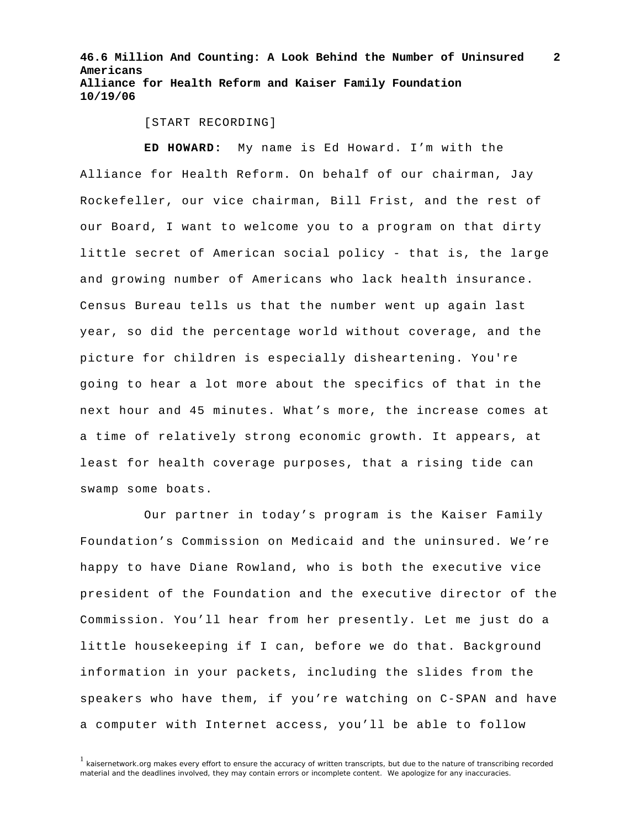[START RECORDING]

**ED HOWARD:** My name is Ed Howard. I'm with the Alliance for Health Reform. On behalf of our chairman, Jay Rockefeller, our vice chairman, Bill Frist, and the rest of our Board, I want to welcome you to a program on that dirty little secret of American social policy - that is, the large and growing number of Americans who lack health insurance. Census Bureau tells us that the number went up again last year, so did the percentage world without coverage, and the picture for children is especially disheartening. You're going to hear a lot more about the specifics of that in the next hour and 45 minutes. What's more, the increase comes at a time of relatively strong economic growth. It appears, at least for health coverage purposes, that a rising tide can swamp some boats.

Our partner in today's program is the Kaiser Family Foundation's Commission on Medicaid and the uninsured. We're happy to have Diane Rowland, who is both the executive vice president of the Foundation and the executive director of the Commission. You'll hear from her presently. Let me just do a little housekeeping if I can, before we do that. Background information in your packets, including the slides from the speakers who have them, if you're watching on C-SPAN and have a computer with Internet access, you'll be able to follow

<sup>1</sup> kaisernetwork.org makes every effort to ensure the accuracy of written transcripts, but due to the nature of transcribing recorded material and the deadlines involved, they may contain errors or incomplete content. We apologize for any inaccuracies.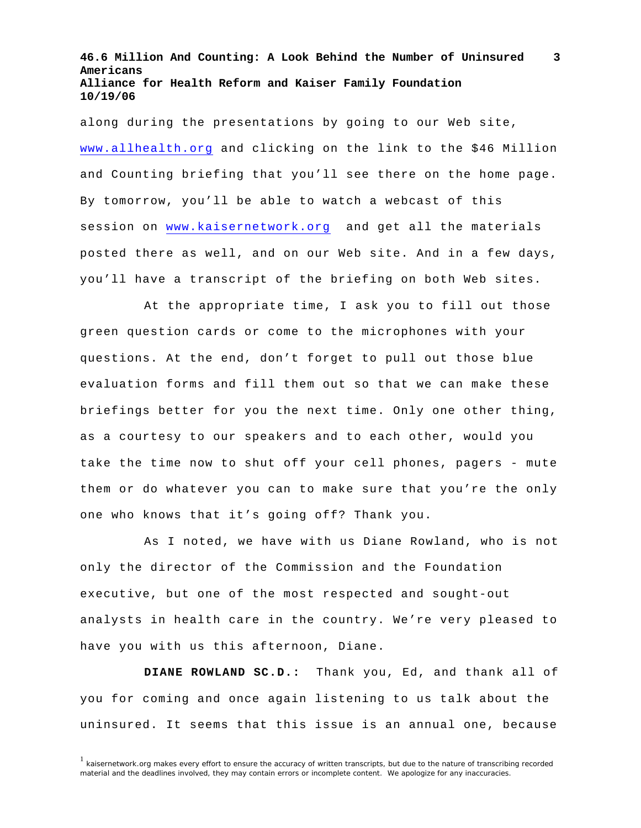along during the presentations by going to our Web site, [www.allhealth.org](http://www.allhealth.org/) and clicking on the link to the \$46 Million and Counting briefing that you'll see there on the home page. By tomorrow, you'll be able to watch a webcast of this session on [www.kaisernetwork.org](http://www.kaisernetwork.org/) and get all the materials posted there as well, and on our Web site. And in a few days, you'll have a transcript of the briefing on both Web sites.

At the appropriate time, I ask you to fill out those green question cards or come to the microphones with your questions. At the end, don't forget to pull out those blue evaluation forms and fill them out so that we can make these briefings better for you the next time. Only one other thing, as a courtesy to our speakers and to each other, would you take the time now to shut off your cell phones, pagers - mute them or do whatever you can to make sure that you're the only one who knows that it's going off? Thank you.

As I noted, we have with us Diane Rowland, who is not only the director of the Commission and the Foundation executive, but one of the most respected and sought-out analysts in health care in the country. We're very pleased to have you with us this afternoon, Diane.

**DIANE ROWLAND SC.D.:** Thank you, Ed, and thank all of you for coming and once again listening to us talk about the uninsured. It seems that this issue is an annual one, because

 $1$  kaisernetwork.org makes every effort to ensure the accuracy of written transcripts, but due to the nature of transcribing recorded material and the deadlines involved, they may contain errors or incomplete content. We apologize for any inaccuracies.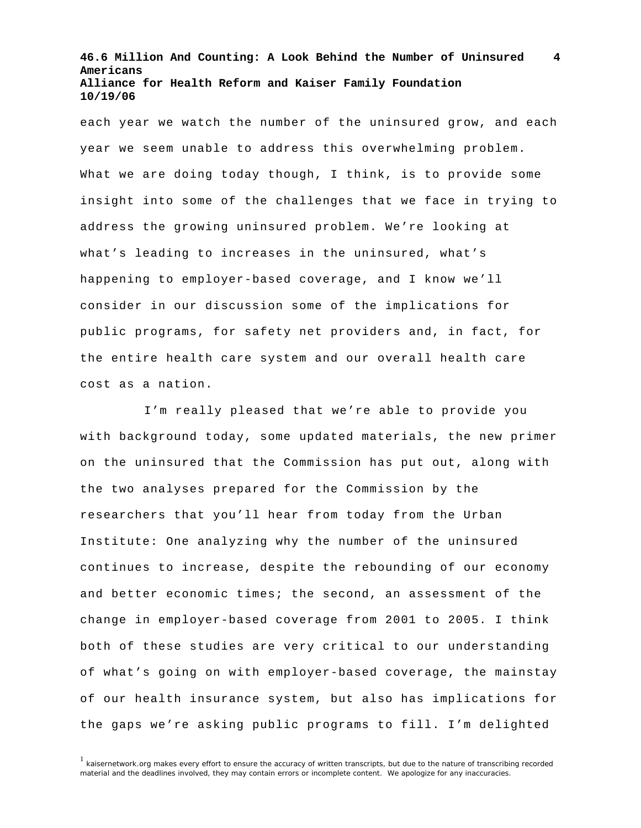each year we watch the number of the uninsured grow, and each year we seem unable to address this overwhelming problem. What we are doing today though, I think, is to provide some insight into some of the challenges that we face in trying to address the growing uninsured problem. We're looking at what's leading to increases in the uninsured, what's happening to employer-based coverage, and I know we'll consider in our discussion some of the implications for public programs, for safety net providers and, in fact, for the entire health care system and our overall health care cost as a nation.

I'm really pleased that we're able to provide you with background today, some updated materials, the new primer on the uninsured that the Commission has put out, along with the two analyses prepared for the Commission by the researchers that you'll hear from today from the Urban Institute: One analyzing why the number of the uninsured continues to increase, despite the rebounding of our economy and better economic times; the second, an assessment of the change in employer-based coverage from 2001 to 2005. I think both of these studies are very critical to our understanding of what's going on with employer-based coverage, the mainstay of our health insurance system, but also has implications for the gaps we're asking public programs to fill. I'm delighted

 $1$  kaisernetwork.org makes every effort to ensure the accuracy of written transcripts, but due to the nature of transcribing recorded material and the deadlines involved, they may contain errors or incomplete content. We apologize for any inaccuracies.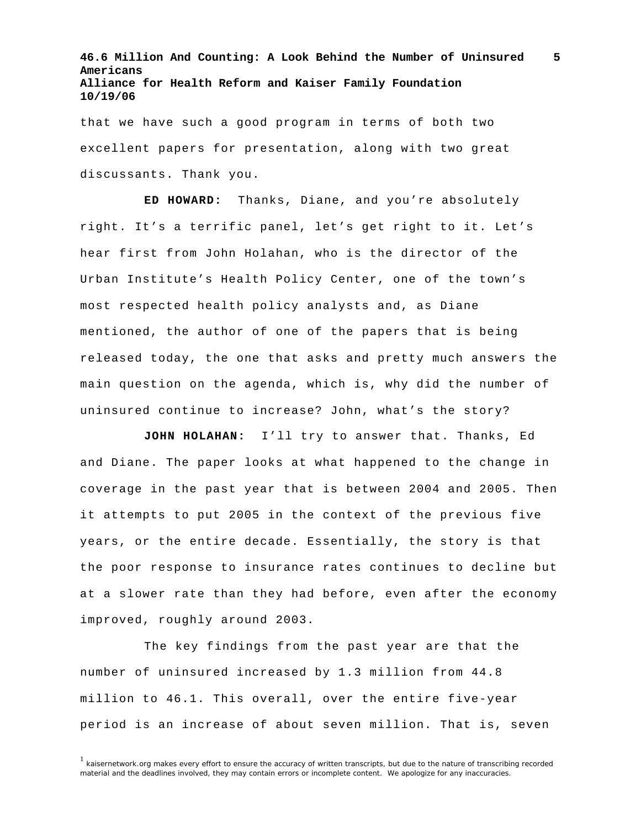that we have such a good program in terms of both two excellent papers for presentation, along with two great discussants. Thank you.

**ED HOWARD:** Thanks, Diane, and you're absolutely right. It's a terrific panel, let's get right to it. Let's hear first from John Holahan, who is the director of the Urban Institute's Health Policy Center, one of the town's most respected health policy analysts and, as Diane mentioned, the author of one of the papers that is being released today, the one that asks and pretty much answers the main question on the agenda, which is, why did the number of uninsured continue to increase? John, what's the story?

**JOHN HOLAHAN:** I'll try to answer that. Thanks, Ed and Diane. The paper looks at what happened to the change in coverage in the past year that is between 2004 and 2005. Then it attempts to put 2005 in the context of the previous five years, or the entire decade. Essentially, the story is that the poor response to insurance rates continues to decline but at a slower rate than they had before, even after the economy improved, roughly around 2003.

The key findings from the past year are that the number of uninsured increased by 1.3 million from 44.8 million to 46.1. This overall, over the entire five-year period is an increase of about seven million. That is, seven

<sup>&</sup>lt;sup>1</sup> kaisernetwork.org makes every effort to ensure the accuracy of written transcripts, but due to the nature of transcribing recorded material and the deadlines involved, they may contain errors or incomplete content. We apologize for any inaccuracies.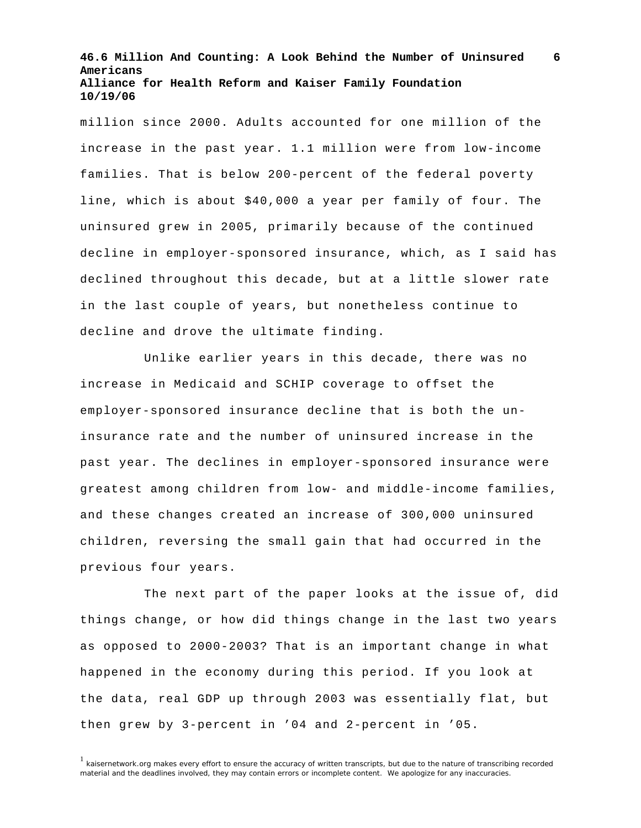**6**

million since 2000. Adults accounted for one million of the increase in the past year. 1.1 million were from low-income families. That is below 200-percent of the federal poverty line, which is about \$40,000 a year per family of four. The uninsured grew in 2005, primarily because of the continued decline in employer-sponsored insurance, which, as I said has declined throughout this decade, but at a little slower rate in the last couple of years, but nonetheless continue to decline and drove the ultimate finding.

Unlike earlier years in this decade, there was no increase in Medicaid and SCHIP coverage to offset the employer-sponsored insurance decline that is both the uninsurance rate and the number of uninsured increase in the past year. The declines in employer-sponsored insurance were greatest among children from low- and middle-income families, and these changes created an increase of 300,000 uninsured children, reversing the small gain that had occurred in the previous four years.

The next part of the paper looks at the issue of, did things change, or how did things change in the last two years as opposed to 2000-2003? That is an important change in what happened in the economy during this period. If you look at the data, real GDP up through 2003 was essentially flat, but then grew by 3-percent in '04 and 2-percent in '05.

 $<sup>1</sup>$  kaisernetwork.org makes every effort to ensure the accuracy of written transcripts, but due to the nature of transcribing recorded</sup> material and the deadlines involved, they may contain errors or incomplete content. We apologize for any inaccuracies.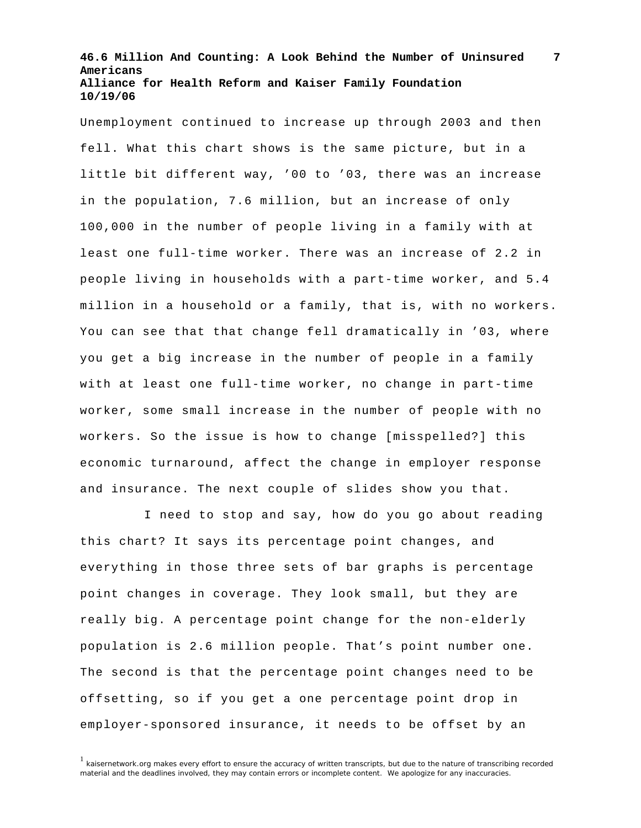Unemployment continued to increase up through 2003 and then fell. What this chart shows is the same picture, but in a little bit different way, '00 to '03, there was an increase in the population, 7.6 million, but an increase of only 100,000 in the number of people living in a family with at least one full-time worker. There was an increase of 2.2 in people living in households with a part-time worker, and 5.4 million in a household or a family, that is, with no workers. You can see that that change fell dramatically in '03, where you get a big increase in the number of people in a family with at least one full-time worker, no change in part-time worker, some small increase in the number of people with no workers. So the issue is how to change [misspelled?] this economic turnaround, affect the change in employer response and insurance. The next couple of slides show you that.

I need to stop and say, how do you go about reading this chart? It says its percentage point changes, and everything in those three sets of bar graphs is percentage point changes in coverage. They look small, but they are really big. A percentage point change for the non-elderly population is 2.6 million people. That's point number one. The second is that the percentage point changes need to be offsetting, so if you get a one percentage point drop in employer-sponsored insurance, it needs to be offset by an

 $<sup>1</sup>$  kaisernetwork.org makes every effort to ensure the accuracy of written transcripts, but due to the nature of transcribing recorded</sup> material and the deadlines involved, they may contain errors or incomplete content. We apologize for any inaccuracies.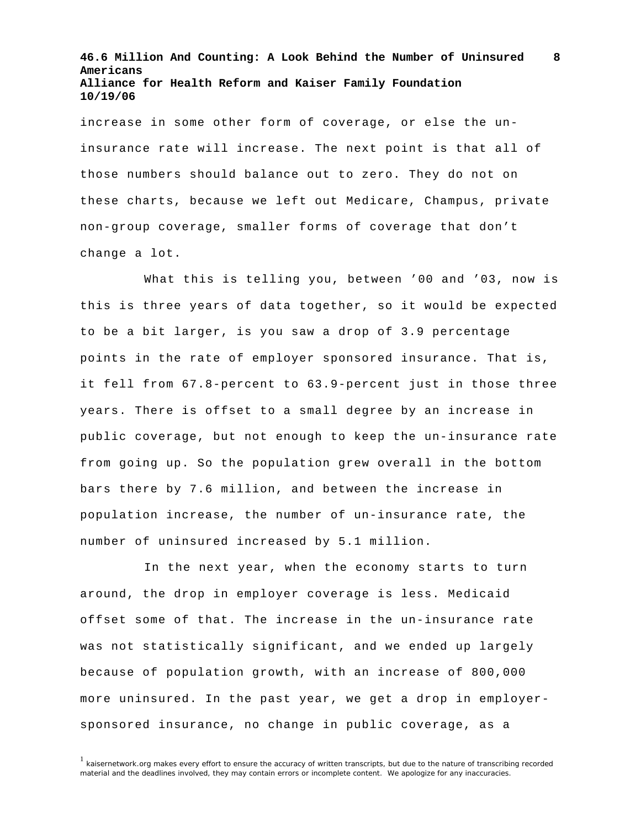increase in some other form of coverage, or else the uninsurance rate will increase. The next point is that all of those numbers should balance out to zero. They do not on these charts, because we left out Medicare, Champus, private non-group coverage, smaller forms of coverage that don't change a lot.

What this is telling you, between '00 and '03, now is this is three years of data together, so it would be expected to be a bit larger, is you saw a drop of 3.9 percentage points in the rate of employer sponsored insurance. That is, it fell from 67.8-percent to 63.9-percent just in those three years. There is offset to a small degree by an increase in public coverage, but not enough to keep the un-insurance rate from going up. So the population grew overall in the bottom bars there by 7.6 million, and between the increase in population increase, the number of un-insurance rate, the number of uninsured increased by 5.1 million.

In the next year, when the economy starts to turn around, the drop in employer coverage is less. Medicaid offset some of that. The increase in the un-insurance rate was not statistically significant, and we ended up largely because of population growth, with an increase of 800,000 more uninsured. In the past year, we get a drop in employersponsored insurance, no change in public coverage, as a

 $1$  kaisernetwork.org makes every effort to ensure the accuracy of written transcripts, but due to the nature of transcribing recorded material and the deadlines involved, they may contain errors or incomplete content. We apologize for any inaccuracies.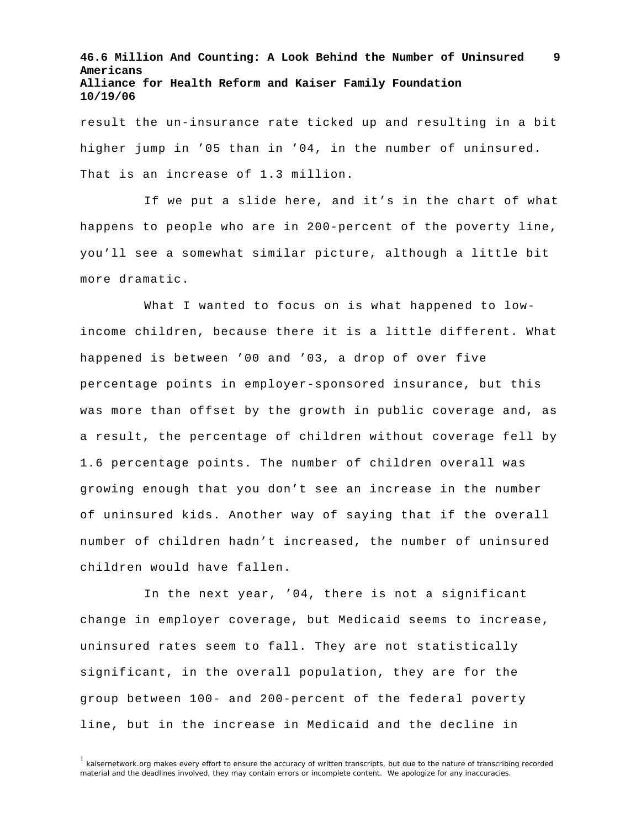result the un-insurance rate ticked up and resulting in a bit higher jump in '05 than in '04, in the number of uninsured. That is an increase of 1.3 million.

If we put a slide here, and it's in the chart of what happens to people who are in 200-percent of the poverty line, you'll see a somewhat similar picture, although a little bit more dramatic.

What I wanted to focus on is what happened to lowincome children, because there it is a little different. What happened is between '00 and '03, a drop of over five percentage points in employer-sponsored insurance, but this was more than offset by the growth in public coverage and, as a result, the percentage of children without coverage fell by 1.6 percentage points. The number of children overall was growing enough that you don't see an increase in the number of uninsured kids. Another way of saying that if the overall number of children hadn't increased, the number of uninsured children would have fallen.

In the next year, '04, there is not a significant change in employer coverage, but Medicaid seems to increase, uninsured rates seem to fall. They are not statistically significant, in the overall population, they are for the group between 100- and 200-percent of the federal poverty line, but in the increase in Medicaid and the decline in

<sup>1</sup> kaisernetwork.org makes every effort to ensure the accuracy of written transcripts, but due to the nature of transcribing recorded material and the deadlines involved, they may contain errors or incomplete content. We apologize for any inaccuracies.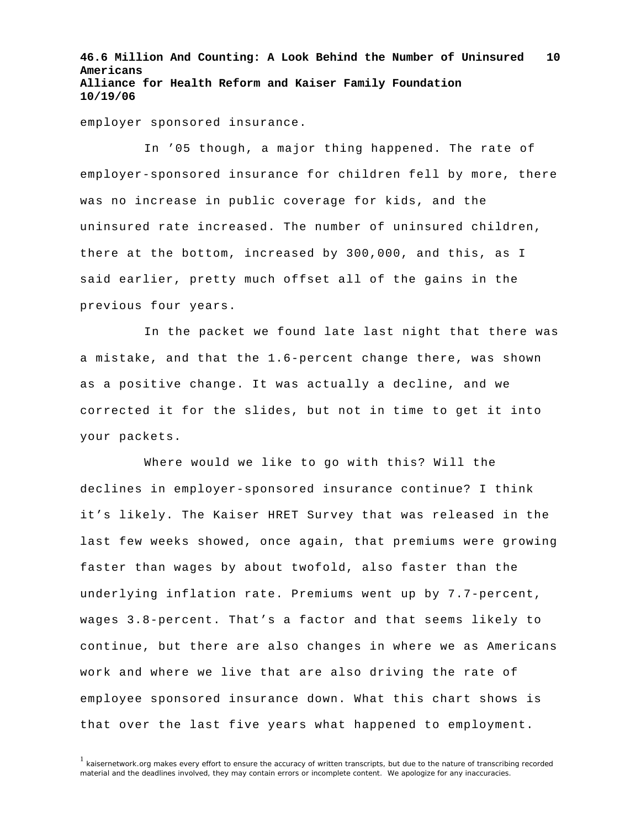employer sponsored insurance.

In '05 though, a major thing happened. The rate of employer-sponsored insurance for children fell by more, there was no increase in public coverage for kids, and the uninsured rate increased. The number of uninsured children, there at the bottom, increased by 300,000, and this, as I said earlier, pretty much offset all of the gains in the previous four years.

In the packet we found late last night that there was a mistake, and that the 1.6-percent change there, was shown as a positive change. It was actually a decline, and we corrected it for the slides, but not in time to get it into your packets.

Where would we like to go with this? Will the declines in employer-sponsored insurance continue? I think it's likely. The Kaiser HRET Survey that was released in the last few weeks showed, once again, that premiums were growing faster than wages by about twofold, also faster than the underlying inflation rate. Premiums went up by 7.7-percent, wages 3.8-percent. That's a factor and that seems likely to continue, but there are also changes in where we as Americans work and where we live that are also driving the rate of employee sponsored insurance down. What this chart shows is that over the last five years what happened to employment.

 $1$  kaisernetwork.org makes every effort to ensure the accuracy of written transcripts, but due to the nature of transcribing recorded material and the deadlines involved, they may contain errors or incomplete content. We apologize for any inaccuracies.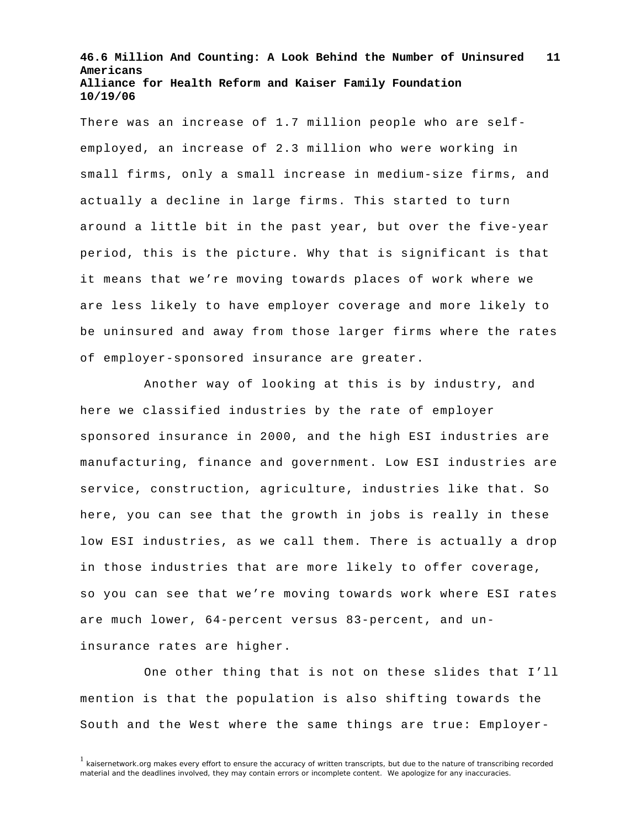There was an increase of 1.7 million people who are selfemployed, an increase of 2.3 million who were working in small firms, only a small increase in medium-size firms, and actually a decline in large firms. This started to turn around a little bit in the past year, but over the five-year period, this is the picture. Why that is significant is that it means that we're moving towards places of work where we are less likely to have employer coverage and more likely to be uninsured and away from those larger firms where the rates of employer-sponsored insurance are greater.

Another way of looking at this is by industry, and here we classified industries by the rate of employer sponsored insurance in 2000, and the high ESI industries are manufacturing, finance and government. Low ESI industries are service, construction, agriculture, industries like that. So here, you can see that the growth in jobs is really in these low ESI industries, as we call them. There is actually a drop in those industries that are more likely to offer coverage, so you can see that we're moving towards work where ESI rates are much lower, 64-percent versus 83-percent, and uninsurance rates are higher.

One other thing that is not on these slides that I'll mention is that the population is also shifting towards the South and the West where the same things are true: Employer-

<sup>&</sup>lt;sup>1</sup> kaisernetwork.org makes every effort to ensure the accuracy of written transcripts, but due to the nature of transcribing recorded material and the deadlines involved, they may contain errors or incomplete content. We apologize for any inaccuracies.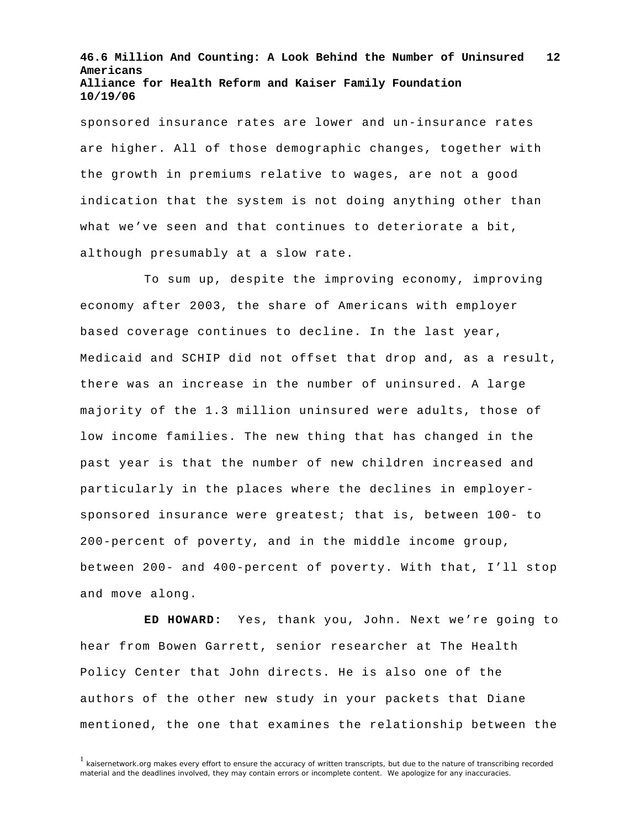sponsored insurance rates are lower and un-insurance rates are higher. All of those demographic changes, together with the growth in premiums relative to wages, are not a good indication that the system is not doing anything other than what we've seen and that continues to deteriorate a bit, although presumably at a slow rate.

To sum up, despite the improving economy, improving economy after 2003, the share of Americans with employer based coverage continues to decline. In the last year, Medicaid and SCHIP did not offset that drop and, as a result, there was an increase in the number of uninsured. A large majority of the 1.3 million uninsured were adults, those of low income families. The new thing that has changed in the past year is that the number of new children increased and particularly in the places where the declines in employersponsored insurance were greatest; that is, between 100- to 200-percent of poverty, and in the middle income group, between 200- and 400-percent of poverty. With that, I'll stop and move along.

**ED HOWARD:** Yes, thank you, John. Next we're going to hear from Bowen Garrett, senior researcher at The Health Policy Center that John directs. He is also one of the authors of the other new study in your packets that Diane mentioned, the one that examines the relationship between the

<sup>&</sup>lt;sup>1</sup> kaisernetwork.org makes every effort to ensure the accuracy of written transcripts, but due to the nature of transcribing recorded material and the deadlines involved, they may contain errors or incomplete content. We apologize for any inaccuracies.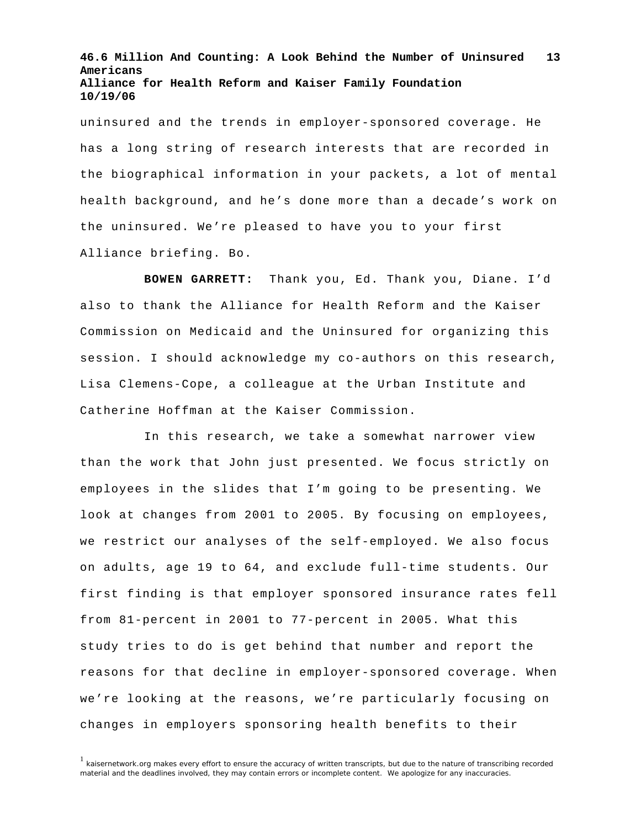uninsured and the trends in employer-sponsored coverage. He has a long string of research interests that are recorded in the biographical information in your packets, a lot of mental health background, and he's done more than a decade's work on the uninsured. We're pleased to have you to your first Alliance briefing. Bo.

**BOWEN GARRETT:** Thank you, Ed. Thank you, Diane. I'd also to thank the Alliance for Health Reform and the Kaiser Commission on Medicaid and the Uninsured for organizing this session. I should acknowledge my co-authors on this research, Lisa Clemens-Cope, a colleague at the Urban Institute and Catherine Hoffman at the Kaiser Commission.

In this research, we take a somewhat narrower view than the work that John just presented. We focus strictly on employees in the slides that I'm going to be presenting. We look at changes from 2001 to 2005. By focusing on employees, we restrict our analyses of the self-employed. We also focus on adults, age 19 to 64, and exclude full-time students. Our first finding is that employer sponsored insurance rates fell from 81-percent in 2001 to 77-percent in 2005. What this study tries to do is get behind that number and report the reasons for that decline in employer-sponsored coverage. When we're looking at the reasons, we're particularly focusing on changes in employers sponsoring health benefits to their

 $<sup>1</sup>$  kaisernetwork.org makes every effort to ensure the accuracy of written transcripts, but due to the nature of transcribing recorded</sup> material and the deadlines involved, they may contain errors or incomplete content. We apologize for any inaccuracies.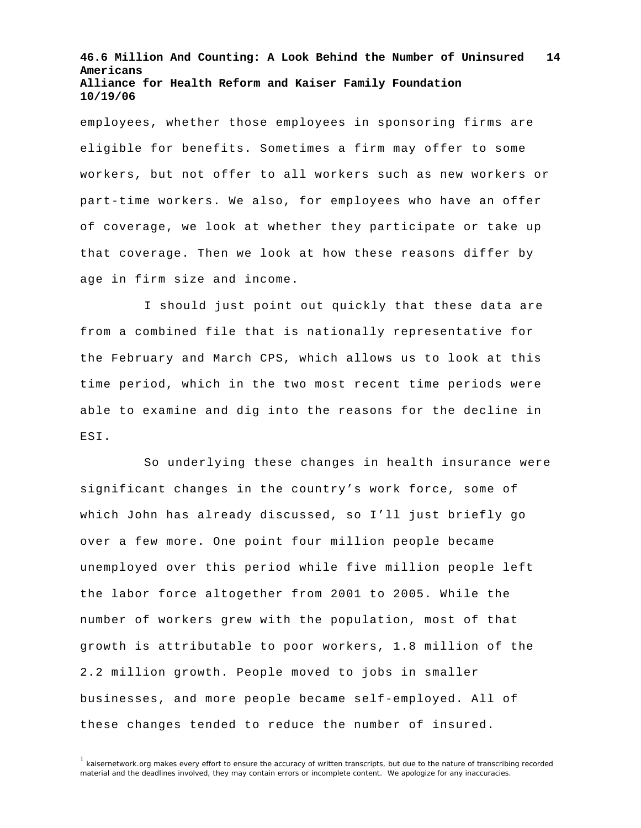employees, whether those employees in sponsoring firms are eligible for benefits. Sometimes a firm may offer to some workers, but not offer to all workers such as new workers or part-time workers. We also, for employees who have an offer of coverage, we look at whether they participate or take up that coverage. Then we look at how these reasons differ by age in firm size and income.

I should just point out quickly that these data are from a combined file that is nationally representative for the February and March CPS, which allows us to look at this time period, which in the two most recent time periods were able to examine and dig into the reasons for the decline in ESI.

So underlying these changes in health insurance were significant changes in the country's work force, some of which John has already discussed, so I'll just briefly go over a few more. One point four million people became unemployed over this period while five million people left the labor force altogether from 2001 to 2005. While the number of workers grew with the population, most of that growth is attributable to poor workers, 1.8 million of the 2.2 million growth. People moved to jobs in smaller businesses, and more people became self-employed. All of these changes tended to reduce the number of insured.

 $<sup>1</sup>$  kaisernetwork.org makes every effort to ensure the accuracy of written transcripts, but due to the nature of transcribing recorded</sup> material and the deadlines involved, they may contain errors or incomplete content. We apologize for any inaccuracies.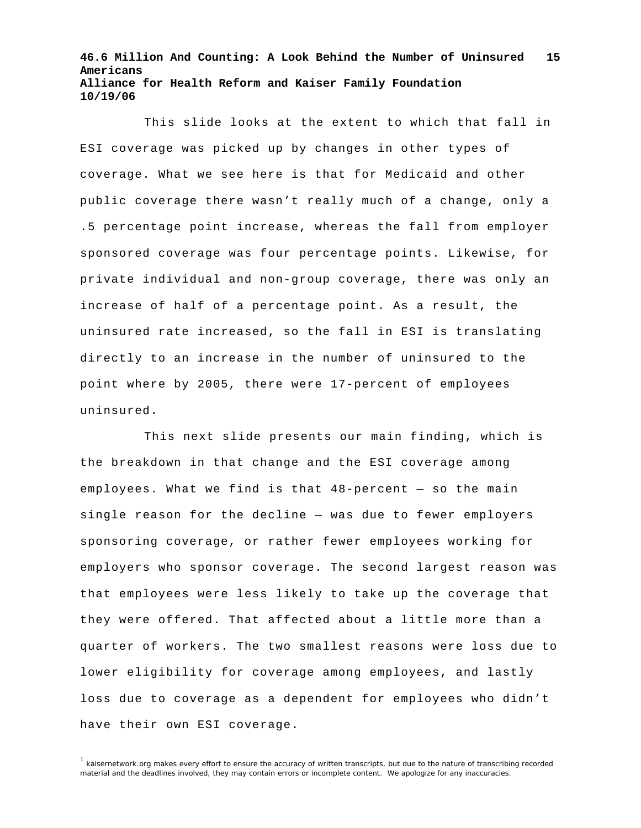This slide looks at the extent to which that fall in ESI coverage was picked up by changes in other types of coverage. What we see here is that for Medicaid and other public coverage there wasn't really much of a change, only a .5 percentage point increase, whereas the fall from employer sponsored coverage was four percentage points. Likewise, for private individual and non-group coverage, there was only an increase of half of a percentage point. As a result, the uninsured rate increased, so the fall in ESI is translating directly to an increase in the number of uninsured to the point where by 2005, there were 17-percent of employees uninsured.

This next slide presents our main finding, which is the breakdown in that change and the ESI coverage among employees. What we find is that 48-percent — so the main single reason for the decline — was due to fewer employers sponsoring coverage, or rather fewer employees working for employers who sponsor coverage. The second largest reason was that employees were less likely to take up the coverage that they were offered. That affected about a little more than a quarter of workers. The two smallest reasons were loss due to lower eligibility for coverage among employees, and lastly loss due to coverage as a dependent for employees who didn't have their own ESI coverage.

 $1$  kaisernetwork.org makes every effort to ensure the accuracy of written transcripts, but due to the nature of transcribing recorded material and the deadlines involved, they may contain errors or incomplete content. We apologize for any inaccuracies.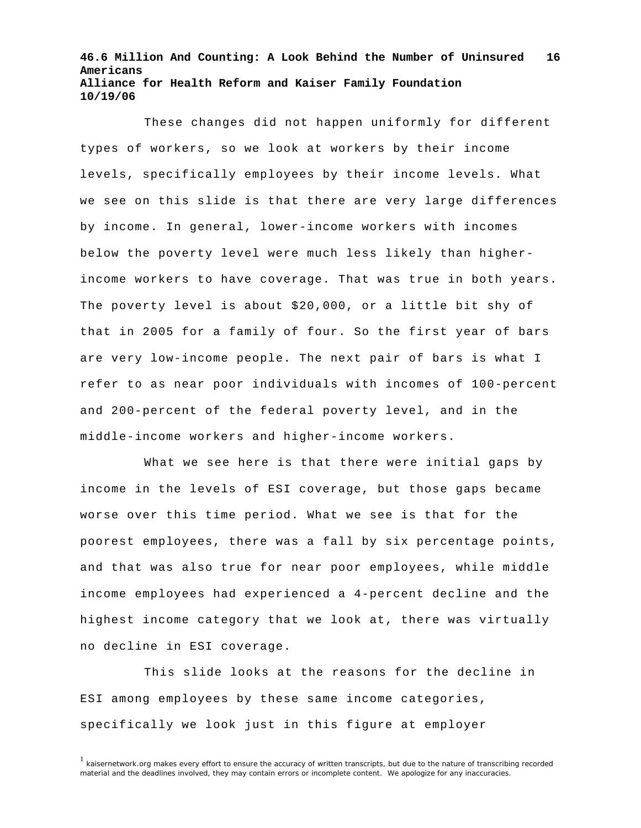These changes did not happen uniformly for different types of workers, so we look at workers by their income levels, specifically employees by their income levels. What we see on this slide is that there are very large differences by income. In general, lower-income workers with incomes below the poverty level were much less likely than higherincome workers to have coverage. That was true in both years. The poverty level is about \$20,000, or a little bit shy of that in 2005 for a family of four. So the first year of bars are very low-income people. The next pair of bars is what I refer to as near poor individuals with incomes of 100-percent and 200-percent of the federal poverty level, and in the middle-income workers and higher-income workers.

What we see here is that there were initial gaps by income in the levels of ESI coverage, but those gaps became worse over this time period. What we see is that for the poorest employees, there was a fall by six percentage points, and that was also true for near poor employees, while middle income employees had experienced a 4-percent decline and the highest income category that we look at, there was virtually no decline in ESI coverage.

This slide looks at the reasons for the decline in ESI among employees by these same income categories, specifically we look just in this figure at employer

<sup>&</sup>lt;sup>1</sup> kaisernetwork.org makes every effort to ensure the accuracy of written transcripts, but due to the nature of transcribing recorded material and the deadlines involved, they may contain errors or incomplete content. We apologize for any inaccuracies.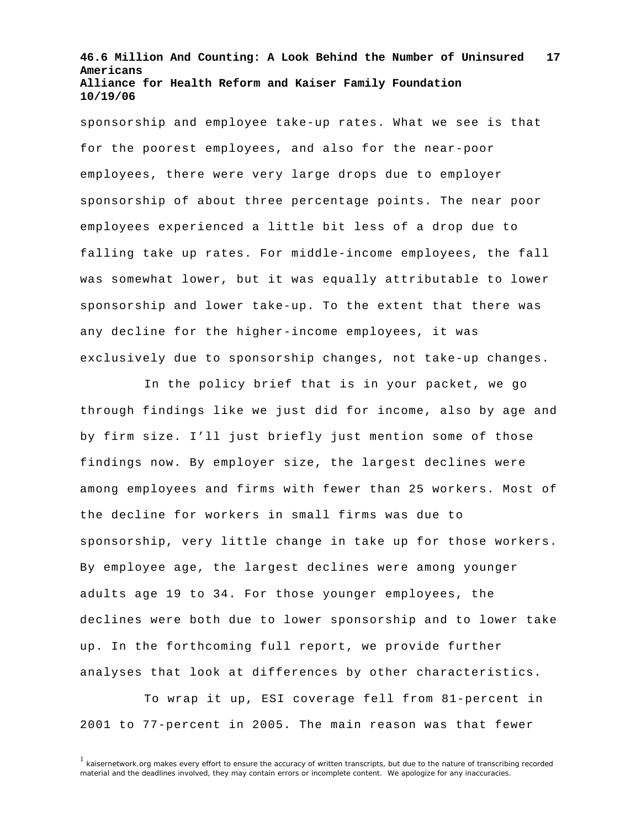sponsorship and employee take-up rates. What we see is that for the poorest employees, and also for the near-poor employees, there were very large drops due to employer sponsorship of about three percentage points. The near poor employees experienced a little bit less of a drop due to falling take up rates. For middle-income employees, the fall was somewhat lower, but it was equally attributable to lower sponsorship and lower take-up. To the extent that there was any decline for the higher-income employees, it was exclusively due to sponsorship changes, not take-up changes.

In the policy brief that is in your packet, we go through findings like we just did for income, also by age and by firm size. I'll just briefly just mention some of those findings now. By employer size, the largest declines were among employees and firms with fewer than 25 workers. Most of the decline for workers in small firms was due to sponsorship, very little change in take up for those workers. By employee age, the largest declines were among younger adults age 19 to 34. For those younger employees, the declines were both due to lower sponsorship and to lower take up. In the forthcoming full report, we provide further analyses that look at differences by other characteristics.

To wrap it up, ESI coverage fell from 81-percent in 2001 to 77-percent in 2005. The main reason was that fewer

 $1$  kaisernetwork.org makes every effort to ensure the accuracy of written transcripts, but due to the nature of transcribing recorded material and the deadlines involved, they may contain errors or incomplete content. We apologize for any inaccuracies.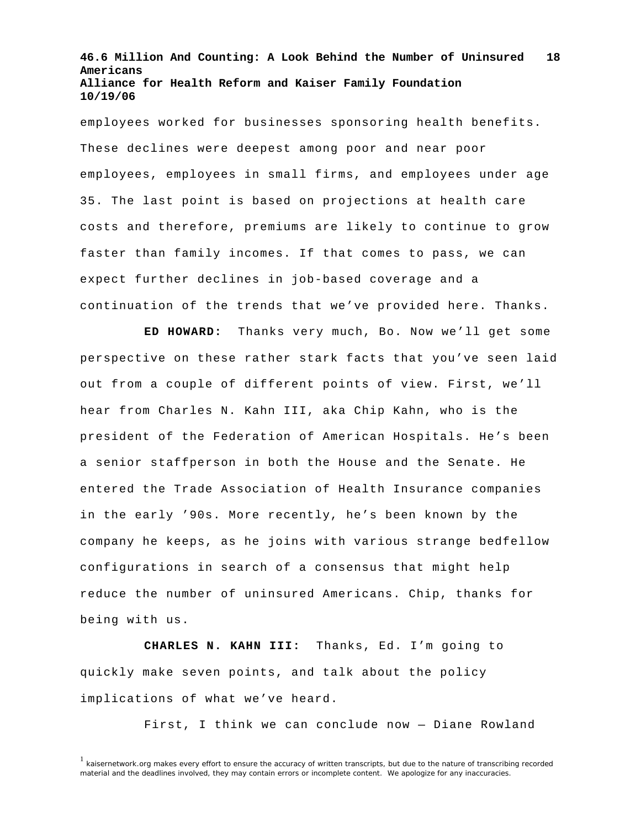employees worked for businesses sponsoring health benefits. These declines were deepest among poor and near poor employees, employees in small firms, and employees under age 35. The last point is based on projections at health care costs and therefore, premiums are likely to continue to grow faster than family incomes. If that comes to pass, we can expect further declines in job-based coverage and a continuation of the trends that we've provided here. Thanks.

**ED HOWARD:** Thanks very much, Bo. Now we'll get some perspective on these rather stark facts that you've seen laid out from a couple of different points of view. First, we'll hear from Charles N. Kahn III, aka Chip Kahn, who is the president of the Federation of American Hospitals. He's been a senior staffperson in both the House and the Senate. He entered the Trade Association of Health Insurance companies in the early '90s. More recently, he's been known by the company he keeps, as he joins with various strange bedfellow configurations in search of a consensus that might help reduce the number of uninsured Americans. Chip, thanks for being with us.

**CHARLES N. KAHN III:** Thanks, Ed. I'm going to quickly make seven points, and talk about the policy implications of what we've heard.

First, I think we can conclude now — Diane Rowland

<sup>&</sup>lt;sup>1</sup> kaisernetwork.org makes every effort to ensure the accuracy of written transcripts, but due to the nature of transcribing recorded material and the deadlines involved, they may contain errors or incomplete content. We apologize for any inaccuracies.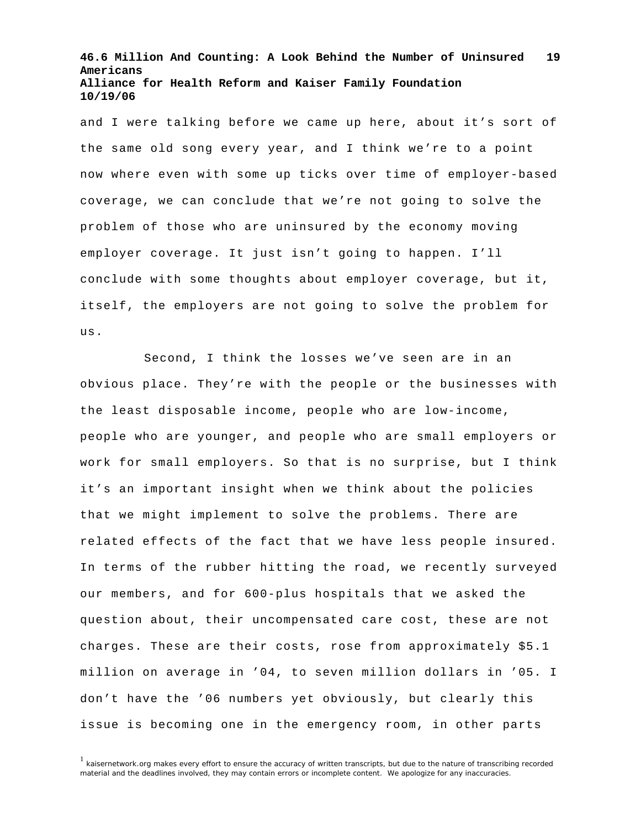and I were talking before we came up here, about it's sort of the same old song every year, and I think we're to a point now where even with some up ticks over time of employer-based coverage, we can conclude that we're not going to solve the problem of those who are uninsured by the economy moving employer coverage. It just isn't going to happen. I'll conclude with some thoughts about employer coverage, but it, itself, the employers are not going to solve the problem for us.

Second, I think the losses we've seen are in an obvious place. They're with the people or the businesses with the least disposable income, people who are low-income, people who are younger, and people who are small employers or work for small employers. So that is no surprise, but I think it's an important insight when we think about the policies that we might implement to solve the problems. There are related effects of the fact that we have less people insured. In terms of the rubber hitting the road, we recently surveyed our members, and for 600-plus hospitals that we asked the question about, their uncompensated care cost, these are not charges. These are their costs, rose from approximately \$5.1 million on average in '04, to seven million dollars in '05. I don't have the '06 numbers yet obviously, but clearly this issue is becoming one in the emergency room, in other parts

 $1$  kaisernetwork.org makes every effort to ensure the accuracy of written transcripts, but due to the nature of transcribing recorded material and the deadlines involved, they may contain errors or incomplete content. We apologize for any inaccuracies.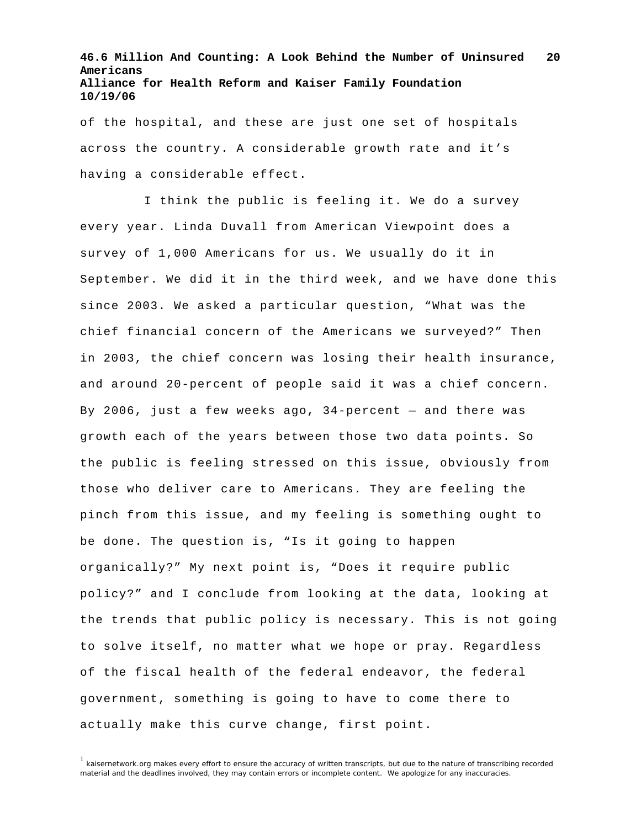of the hospital, and these are just one set of hospitals across the country. A considerable growth rate and it's having a considerable effect.

I think the public is feeling it. We do a survey every year. Linda Duvall from American Viewpoint does a survey of 1,000 Americans for us. We usually do it in September. We did it in the third week, and we have done this since 2003. We asked a particular question, "What was the chief financial concern of the Americans we surveyed?" Then in 2003, the chief concern was losing their health insurance, and around 20-percent of people said it was a chief concern. By 2006, just a few weeks ago, 34-percent — and there was growth each of the years between those two data points. So the public is feeling stressed on this issue, obviously from those who deliver care to Americans. They are feeling the pinch from this issue, and my feeling is something ought to be done. The question is, "Is it going to happen organically?" My next point is, "Does it require public policy?" and I conclude from looking at the data, looking at the trends that public policy is necessary. This is not going to solve itself, no matter what we hope or pray. Regardless of the fiscal health of the federal endeavor, the federal government, something is going to have to come there to actually make this curve change, first point.

 $<sup>1</sup>$  kaisernetwork.org makes every effort to ensure the accuracy of written transcripts, but due to the nature of transcribing recorded</sup> material and the deadlines involved, they may contain errors or incomplete content. We apologize for any inaccuracies.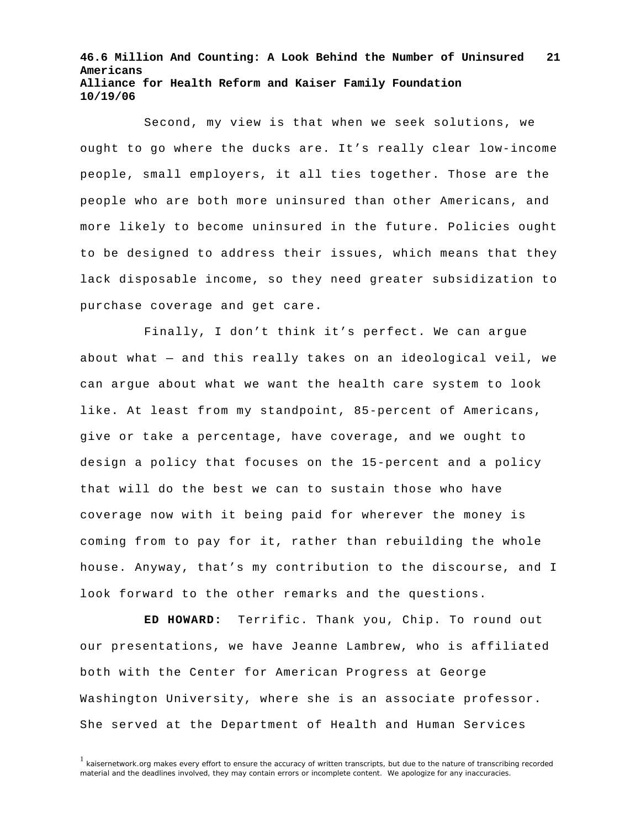Second, my view is that when we seek solutions, we ought to go where the ducks are. It's really clear low-income people, small employers, it all ties together. Those are the people who are both more uninsured than other Americans, and more likely to become uninsured in the future. Policies ought to be designed to address their issues, which means that they lack disposable income, so they need greater subsidization to purchase coverage and get care.

Finally, I don't think it's perfect. We can argue about what — and this really takes on an ideological veil, we can argue about what we want the health care system to look like. At least from my standpoint, 85-percent of Americans, give or take a percentage, have coverage, and we ought to design a policy that focuses on the 15-percent and a policy that will do the best we can to sustain those who have coverage now with it being paid for wherever the money is coming from to pay for it, rather than rebuilding the whole house. Anyway, that's my contribution to the discourse, and I look forward to the other remarks and the questions.

**ED HOWARD:** Terrific. Thank you, Chip. To round out our presentations, we have Jeanne Lambrew, who is affiliated both with the Center for American Progress at George Washington University, where she is an associate professor. She served at the Department of Health and Human Services

<sup>&</sup>lt;sup>1</sup> kaisernetwork.org makes every effort to ensure the accuracy of written transcripts, but due to the nature of transcribing recorded material and the deadlines involved, they may contain errors or incomplete content. We apologize for any inaccuracies.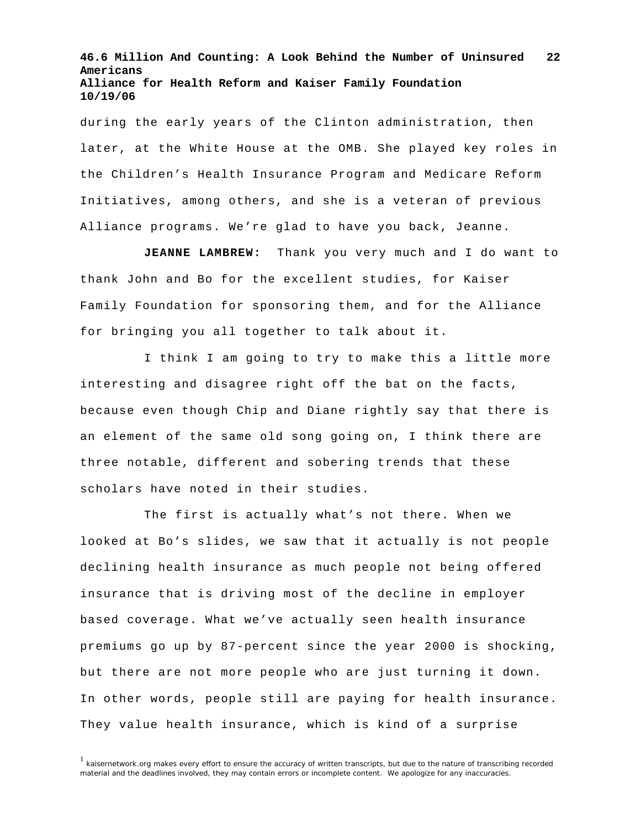during the early years of the Clinton administration, then later, at the White House at the OMB. She played key roles in the Children's Health Insurance Program and Medicare Reform Initiatives, among others, and she is a veteran of previous Alliance programs. We're glad to have you back, Jeanne.

**JEANNE LAMBREW:** Thank you very much and I do want to thank John and Bo for the excellent studies, for Kaiser Family Foundation for sponsoring them, and for the Alliance for bringing you all together to talk about it.

I think I am going to try to make this a little more interesting and disagree right off the bat on the facts, because even though Chip and Diane rightly say that there is an element of the same old song going on, I think there are three notable, different and sobering trends that these scholars have noted in their studies.

 The first is actually what's not there. When we looked at Bo's slides, we saw that it actually is not people declining health insurance as much people not being offered insurance that is driving most of the decline in employer based coverage. What we've actually seen health insurance premiums go up by 87-percent since the year 2000 is shocking, but there are not more people who are just turning it down. In other words, people still are paying for health insurance. They value health insurance, which is kind of a surprise

<sup>&</sup>lt;sup>1</sup> kaisernetwork.org makes every effort to ensure the accuracy of written transcripts, but due to the nature of transcribing recorded material and the deadlines involved, they may contain errors or incomplete content. We apologize for any inaccuracies.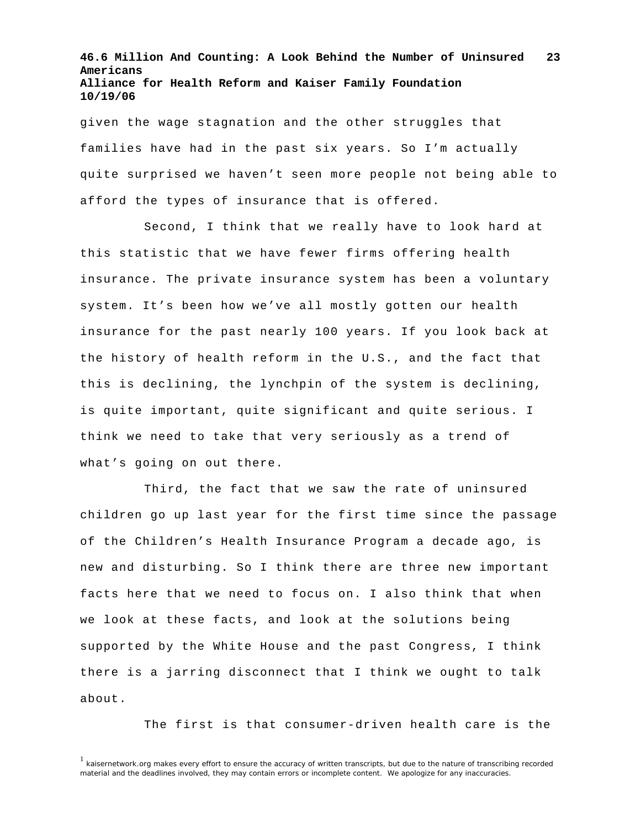given the wage stagnation and the other struggles that families have had in the past six years. So I'm actually quite surprised we haven't seen more people not being able to afford the types of insurance that is offered.

 Second, I think that we really have to look hard at this statistic that we have fewer firms offering health insurance. The private insurance system has been a voluntary system. It's been how we've all mostly gotten our health insurance for the past nearly 100 years. If you look back at the history of health reform in the U.S., and the fact that this is declining, the lynchpin of the system is declining, is quite important, quite significant and quite serious. I think we need to take that very seriously as a trend of what's going on out there.

 Third, the fact that we saw the rate of uninsured children go up last year for the first time since the passage of the Children's Health Insurance Program a decade ago, is new and disturbing. So I think there are three new important facts here that we need to focus on. I also think that when we look at these facts, and look at the solutions being supported by the White House and the past Congress, I think there is a jarring disconnect that I think we ought to talk about.

The first is that consumer-driven health care is the

<sup>&</sup>lt;sup>1</sup> kaisernetwork.org makes every effort to ensure the accuracy of written transcripts, but due to the nature of transcribing recorded material and the deadlines involved, they may contain errors or incomplete content. We apologize for any inaccuracies.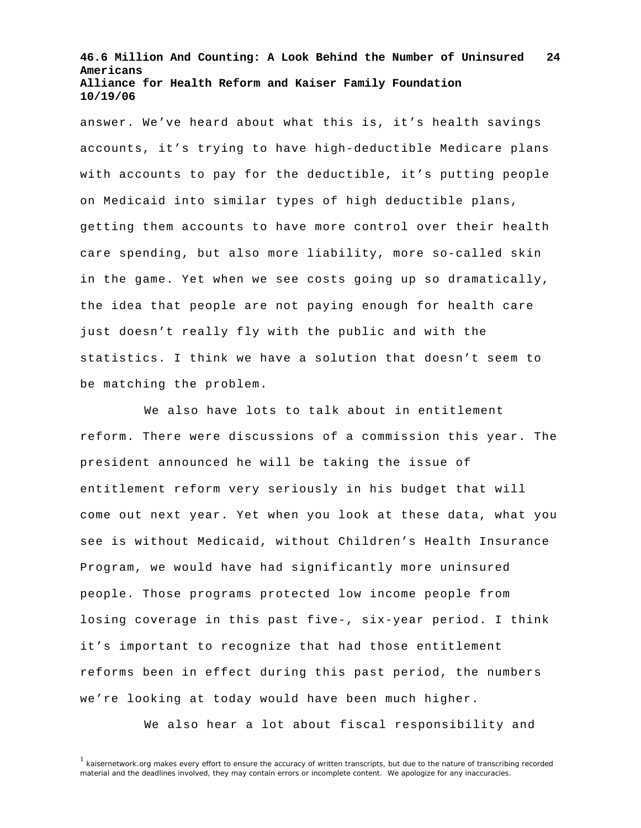answer. We've heard about what this is, it's health savings accounts, it's trying to have high-deductible Medicare plans with accounts to pay for the deductible, it's putting people on Medicaid into similar types of high deductible plans, getting them accounts to have more control over their health care spending, but also more liability, more so-called skin in the game. Yet when we see costs going up so dramatically, the idea that people are not paying enough for health care just doesn't really fly with the public and with the statistics. I think we have a solution that doesn't seem to be matching the problem.

 We also have lots to talk about in entitlement reform. There were discussions of a commission this year. The president announced he will be taking the issue of entitlement reform very seriously in his budget that will come out next year. Yet when you look at these data, what you see is without Medicaid, without Children's Health Insurance Program, we would have had significantly more uninsured people. Those programs protected low income people from losing coverage in this past five-, six-year period. I think it's important to recognize that had those entitlement reforms been in effect during this past period, the numbers we're looking at today would have been much higher.

We also hear a lot about fiscal responsibility and

<sup>&</sup>lt;sup>1</sup> kaisernetwork.org makes every effort to ensure the accuracy of written transcripts, but due to the nature of transcribing recorded material and the deadlines involved, they may contain errors or incomplete content. We apologize for any inaccuracies.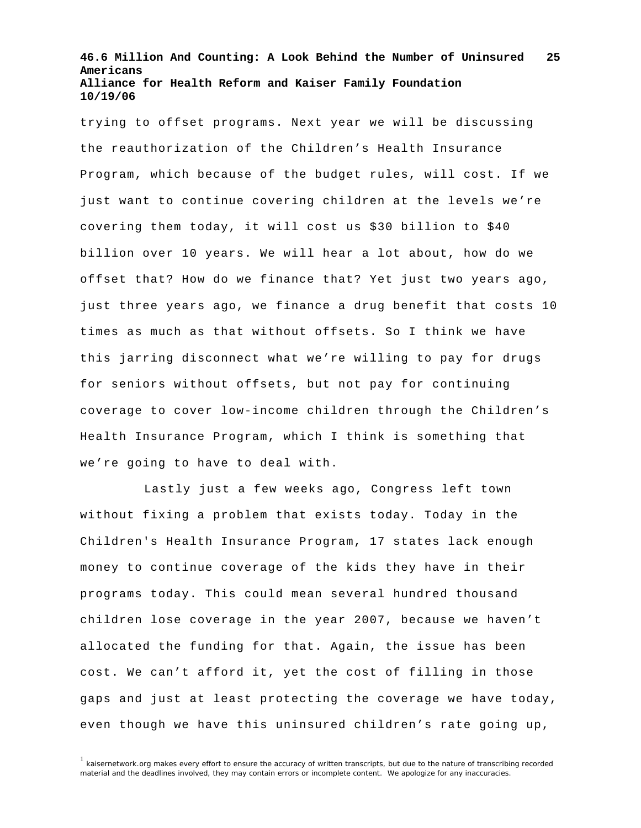trying to offset programs. Next year we will be discussing the reauthorization of the Children's Health Insurance Program, which because of the budget rules, will cost. If we just want to continue covering children at the levels we're covering them today, it will cost us \$30 billion to \$40 billion over 10 years. We will hear a lot about, how do we offset that? How do we finance that? Yet just two years ago, just three years ago, we finance a drug benefit that costs 10 times as much as that without offsets. So I think we have this jarring disconnect what we're willing to pay for drugs for seniors without offsets, but not pay for continuing coverage to cover low-income children through the Children's Health Insurance Program, which I think is something that we're going to have to deal with.

 Lastly just a few weeks ago, Congress left town without fixing a problem that exists today. Today in the Children's Health Insurance Program, 17 states lack enough money to continue coverage of the kids they have in their programs today. This could mean several hundred thousand children lose coverage in the year 2007, because we haven't allocated the funding for that. Again, the issue has been cost. We can't afford it, yet the cost of filling in those gaps and just at least protecting the coverage we have today, even though we have this uninsured children's rate going up,

 $1$  kaisernetwork.org makes every effort to ensure the accuracy of written transcripts, but due to the nature of transcribing recorded material and the deadlines involved, they may contain errors or incomplete content. We apologize for any inaccuracies.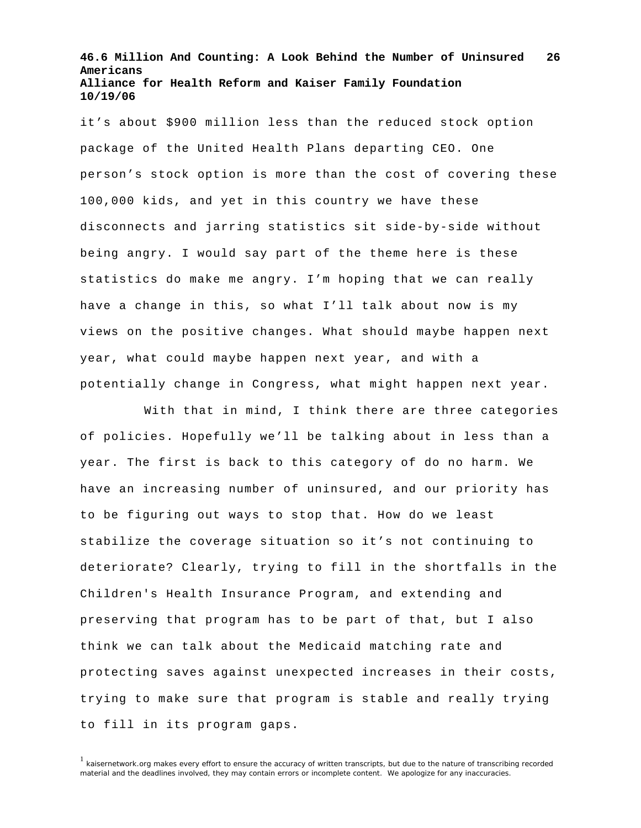it's about \$900 million less than the reduced stock option package of the United Health Plans departing CEO. One person's stock option is more than the cost of covering these 100,000 kids, and yet in this country we have these disconnects and jarring statistics sit side-by-side without being angry. I would say part of the theme here is these statistics do make me angry. I'm hoping that we can really have a change in this, so what I'll talk about now is my views on the positive changes. What should maybe happen next year, what could maybe happen next year, and with a potentially change in Congress, what might happen next year.

 With that in mind, I think there are three categories of policies. Hopefully we'll be talking about in less than a year. The first is back to this category of do no harm. We have an increasing number of uninsured, and our priority has to be figuring out ways to stop that. How do we least stabilize the coverage situation so it's not continuing to deteriorate? Clearly, trying to fill in the shortfalls in the Children's Health Insurance Program, and extending and preserving that program has to be part of that, but I also think we can talk about the Medicaid matching rate and protecting saves against unexpected increases in their costs, trying to make sure that program is stable and really trying to fill in its program gaps.

 $1$  kaisernetwork.org makes every effort to ensure the accuracy of written transcripts, but due to the nature of transcribing recorded material and the deadlines involved, they may contain errors or incomplete content. We apologize for any inaccuracies.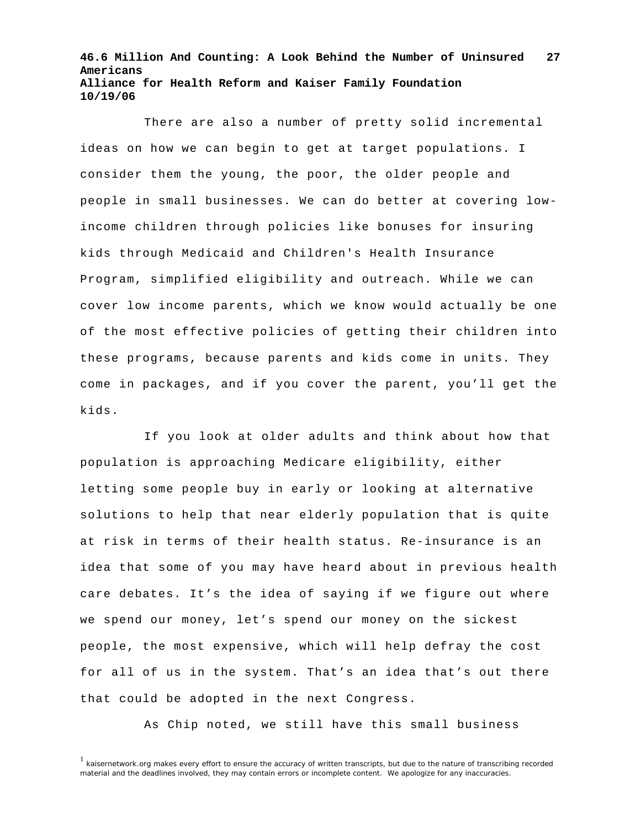There are also a number of pretty solid incremental ideas on how we can begin to get at target populations. I consider them the young, the poor, the older people and people in small businesses. We can do better at covering lowincome children through policies like bonuses for insuring kids through Medicaid and Children's Health Insurance Program, simplified eligibility and outreach. While we can cover low income parents, which we know would actually be one of the most effective policies of getting their children into these programs, because parents and kids come in units. They come in packages, and if you cover the parent, you'll get the kids.

 If you look at older adults and think about how that population is approaching Medicare eligibility, either letting some people buy in early or looking at alternative solutions to help that near elderly population that is quite at risk in terms of their health status. Re-insurance is an idea that some of you may have heard about in previous health care debates. It's the idea of saying if we figure out where we spend our money, let's spend our money on the sickest people, the most expensive, which will help defray the cost for all of us in the system. That's an idea that's out there that could be adopted in the next Congress.

As Chip noted, we still have this small business

<sup>&</sup>lt;sup>1</sup> kaisernetwork.org makes every effort to ensure the accuracy of written transcripts, but due to the nature of transcribing recorded material and the deadlines involved, they may contain errors or incomplete content. We apologize for any inaccuracies.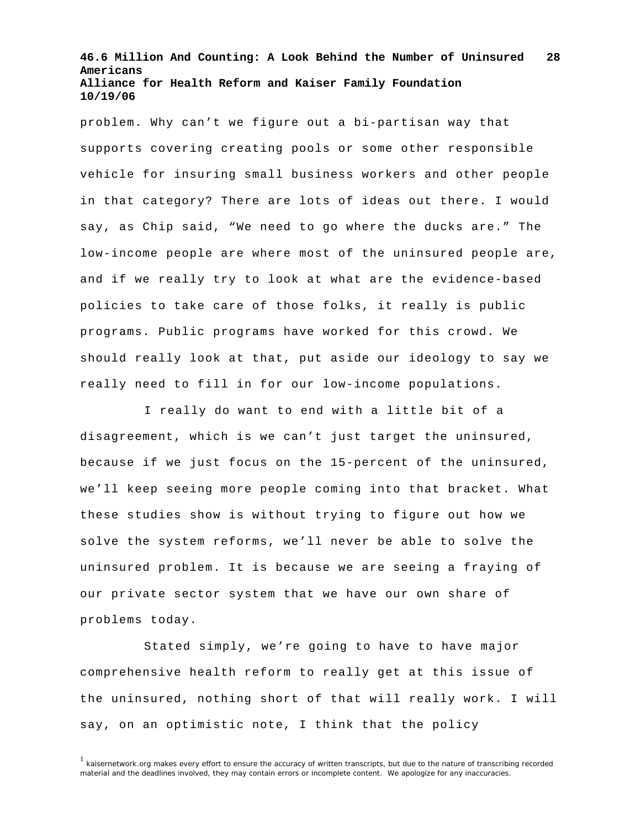problem. Why can't we figure out a bi-partisan way that supports covering creating pools or some other responsible vehicle for insuring small business workers and other people in that category? There are lots of ideas out there. I would say, as Chip said, "We need to go where the ducks are." The low-income people are where most of the uninsured people are, and if we really try to look at what are the evidence-based policies to take care of those folks, it really is public programs. Public programs have worked for this crowd. We should really look at that, put aside our ideology to say we really need to fill in for our low-income populations.

 I really do want to end with a little bit of a disagreement, which is we can't just target the uninsured, because if we just focus on the 15-percent of the uninsured, we'll keep seeing more people coming into that bracket. What these studies show is without trying to figure out how we solve the system reforms, we'll never be able to solve the uninsured problem. It is because we are seeing a fraying of our private sector system that we have our own share of problems today.

 Stated simply, we're going to have to have major comprehensive health reform to really get at this issue of the uninsured, nothing short of that will really work. I will say, on an optimistic note, I think that the policy

<sup>&</sup>lt;sup>1</sup> kaisernetwork.org makes every effort to ensure the accuracy of written transcripts, but due to the nature of transcribing recorded material and the deadlines involved, they may contain errors or incomplete content. We apologize for any inaccuracies.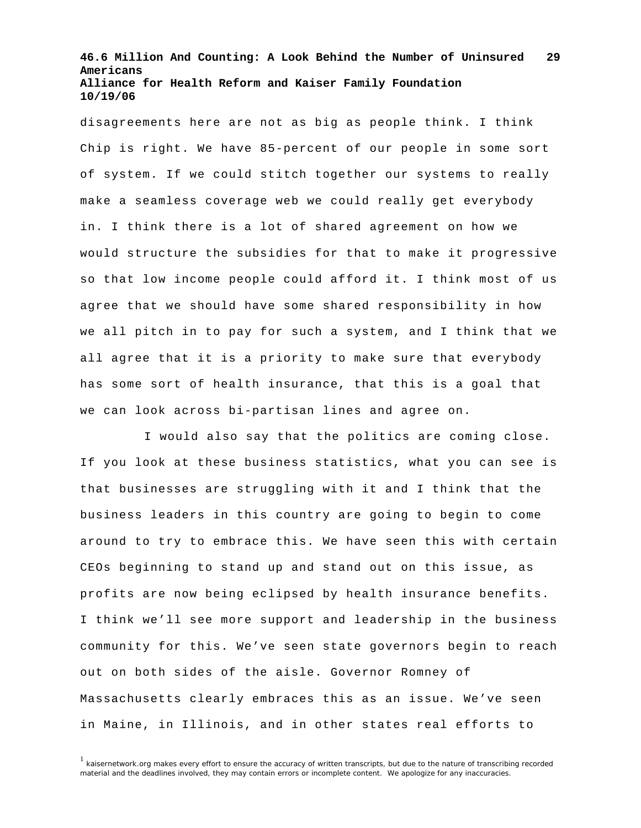disagreements here are not as big as people think. I think Chip is right. We have 85-percent of our people in some sort of system. If we could stitch together our systems to really make a seamless coverage web we could really get everybody in. I think there is a lot of shared agreement on how we would structure the subsidies for that to make it progressive so that low income people could afford it. I think most of us agree that we should have some shared responsibility in how we all pitch in to pay for such a system, and I think that we all agree that it is a priority to make sure that everybody has some sort of health insurance, that this is a goal that we can look across bi-partisan lines and agree on.

 I would also say that the politics are coming close. If you look at these business statistics, what you can see is that businesses are struggling with it and I think that the business leaders in this country are going to begin to come around to try to embrace this. We have seen this with certain CEOs beginning to stand up and stand out on this issue, as profits are now being eclipsed by health insurance benefits. I think we'll see more support and leadership in the business community for this. We've seen state governors begin to reach out on both sides of the aisle. Governor Romney of Massachusetts clearly embraces this as an issue. We've seen in Maine, in Illinois, and in other states real efforts to

<sup>&</sup>lt;sup>1</sup> kaisernetwork.org makes every effort to ensure the accuracy of written transcripts, but due to the nature of transcribing recorded material and the deadlines involved, they may contain errors or incomplete content. We apologize for any inaccuracies.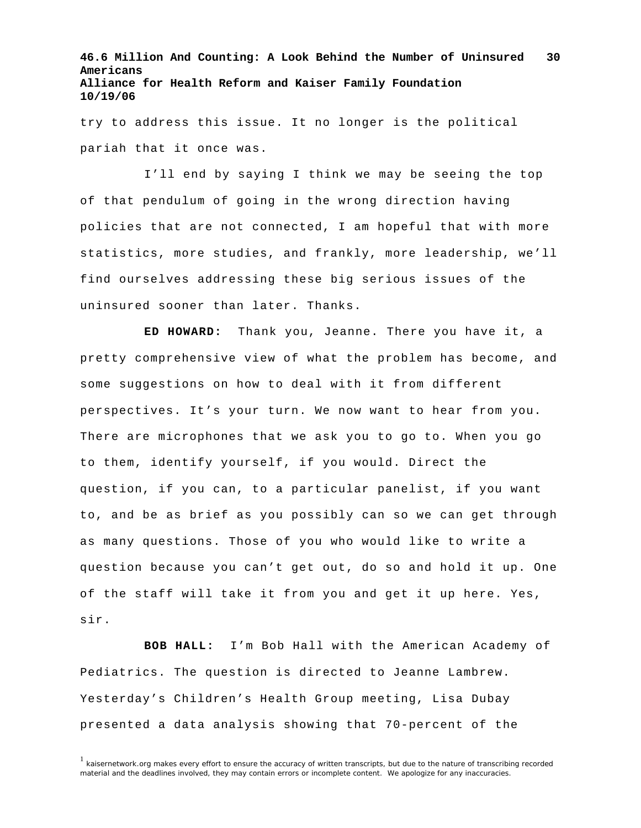try to address this issue. It no longer is the political pariah that it once was.

 I'll end by saying I think we may be seeing the top of that pendulum of going in the wrong direction having policies that are not connected, I am hopeful that with more statistics, more studies, and frankly, more leadership, we'll find ourselves addressing these big serious issues of the uninsured sooner than later. Thanks.

**ED HOWARD:** Thank you, Jeanne. There you have it, a pretty comprehensive view of what the problem has become, and some suggestions on how to deal with it from different perspectives. It's your turn. We now want to hear from you. There are microphones that we ask you to go to. When you go to them, identify yourself, if you would. Direct the question, if you can, to a particular panelist, if you want to, and be as brief as you possibly can so we can get through as many questions. Those of you who would like to write a question because you can't get out, do so and hold it up. One of the staff will take it from you and get it up here. Yes, sir.

**BOB HALL:** I'm Bob Hall with the American Academy of Pediatrics. The question is directed to Jeanne Lambrew. Yesterday's Children's Health Group meeting, Lisa Dubay presented a data analysis showing that 70-percent of the

<sup>&</sup>lt;sup>1</sup> kaisernetwork.org makes every effort to ensure the accuracy of written transcripts, but due to the nature of transcribing recorded material and the deadlines involved, they may contain errors or incomplete content. We apologize for any inaccuracies.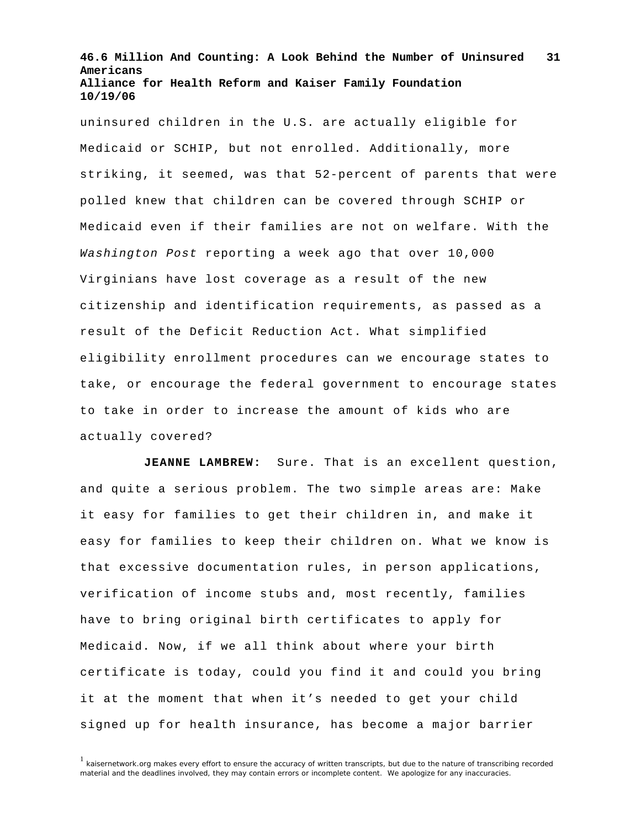uninsured children in the U.S. are actually eligible for Medicaid or SCHIP, but not enrolled. Additionally, more striking, it seemed, was that 52-percent of parents that were polled knew that children can be covered through SCHIP or Medicaid even if their families are not on welfare. With the *Washington Post* reporting a week ago that over 10,000 Virginians have lost coverage as a result of the new citizenship and identification requirements, as passed as a result of the Deficit Reduction Act. What simplified eligibility enrollment procedures can we encourage states to take, or encourage the federal government to encourage states to take in order to increase the amount of kids who are actually covered?

**JEANNE LAMBREW:** Sure. That is an excellent question, and quite a serious problem. The two simple areas are: Make it easy for families to get their children in, and make it easy for families to keep their children on. What we know is that excessive documentation rules, in person applications, verification of income stubs and, most recently, families have to bring original birth certificates to apply for Medicaid. Now, if we all think about where your birth certificate is today, could you find it and could you bring it at the moment that when it's needed to get your child signed up for health insurance, has become a major barrier

 $1$  kaisernetwork.org makes every effort to ensure the accuracy of written transcripts, but due to the nature of transcribing recorded material and the deadlines involved, they may contain errors or incomplete content. We apologize for any inaccuracies.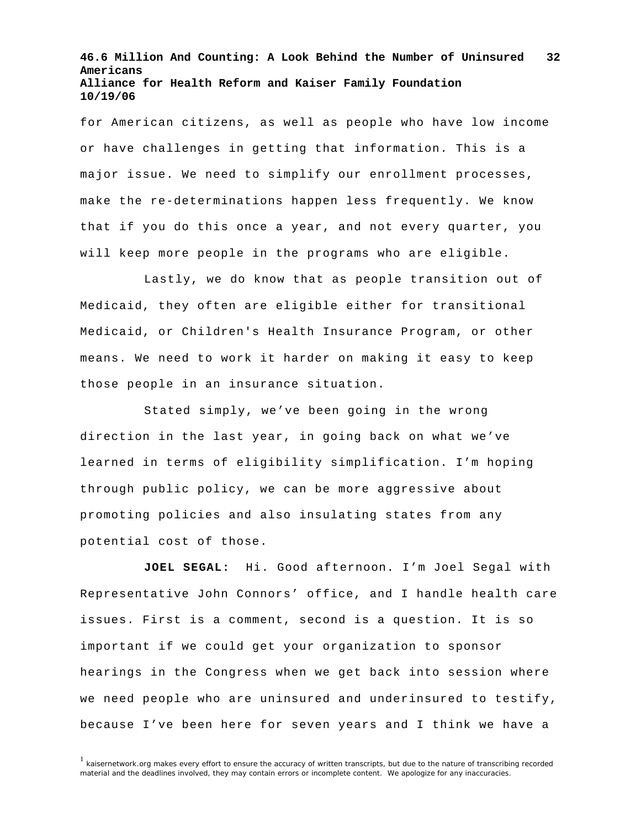for American citizens, as well as people who have low income or have challenges in getting that information. This is a major issue. We need to simplify our enrollment processes, make the re-determinations happen less frequently. We know that if you do this once a year, and not every quarter, you will keep more people in the programs who are eligible.

Lastly, we do know that as people transition out of Medicaid, they often are eligible either for transitional Medicaid, or Children's Health Insurance Program, or other means. We need to work it harder on making it easy to keep those people in an insurance situation.

Stated simply, we've been going in the wrong direction in the last year, in going back on what we've learned in terms of eligibility simplification. I'm hoping through public policy, we can be more aggressive about promoting policies and also insulating states from any potential cost of those.

**JOEL SEGAL:** Hi. Good afternoon. I'm Joel Segal with Representative John Connors' office, and I handle health care issues. First is a comment, second is a question. It is so important if we could get your organization to sponsor hearings in the Congress when we get back into session where we need people who are uninsured and underinsured to testify, because I've been here for seven years and I think we have a

<sup>1</sup> kaisernetwork.org makes every effort to ensure the accuracy of written transcripts, but due to the nature of transcribing recorded material and the deadlines involved, they may contain errors or incomplete content. We apologize for any inaccuracies.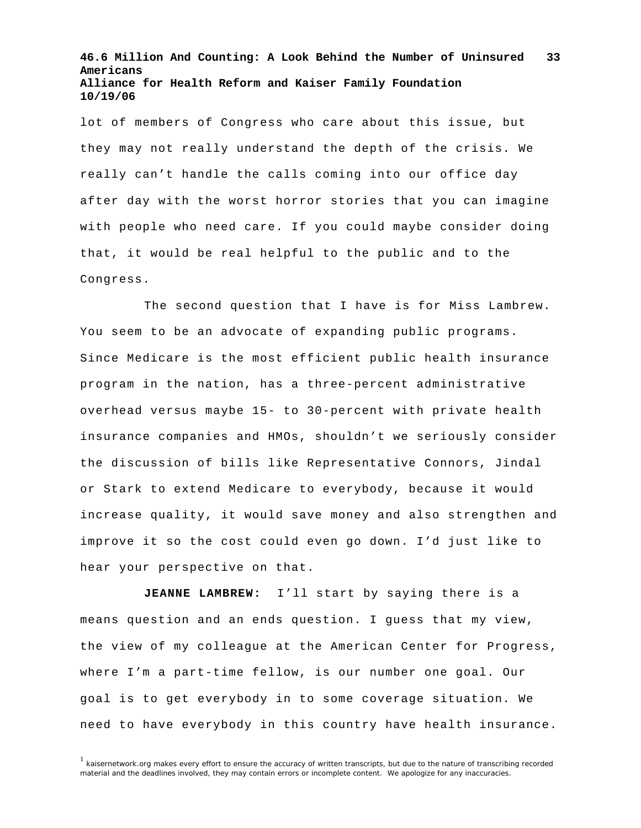lot of members of Congress who care about this issue, but they may not really understand the depth of the crisis. We really can't handle the calls coming into our office day after day with the worst horror stories that you can imagine with people who need care. If you could maybe consider doing that, it would be real helpful to the public and to the Congress.

The second question that I have is for Miss Lambrew. You seem to be an advocate of expanding public programs. Since Medicare is the most efficient public health insurance program in the nation, has a three-percent administrative overhead versus maybe 15- to 30-percent with private health insurance companies and HMOs, shouldn't we seriously consider the discussion of bills like Representative Connors, Jindal or Stark to extend Medicare to everybody, because it would increase quality, it would save money and also strengthen and improve it so the cost could even go down. I'd just like to hear your perspective on that.

**JEANNE LAMBREW:** I'll start by saying there is a means question and an ends question. I guess that my view, the view of my colleague at the American Center for Progress, where I'm a part-time fellow, is our number one goal. Our goal is to get everybody in to some coverage situation. We need to have everybody in this country have health insurance.

<sup>&</sup>lt;sup>1</sup> kaisernetwork.org makes every effort to ensure the accuracy of written transcripts, but due to the nature of transcribing recorded material and the deadlines involved, they may contain errors or incomplete content. We apologize for any inaccuracies.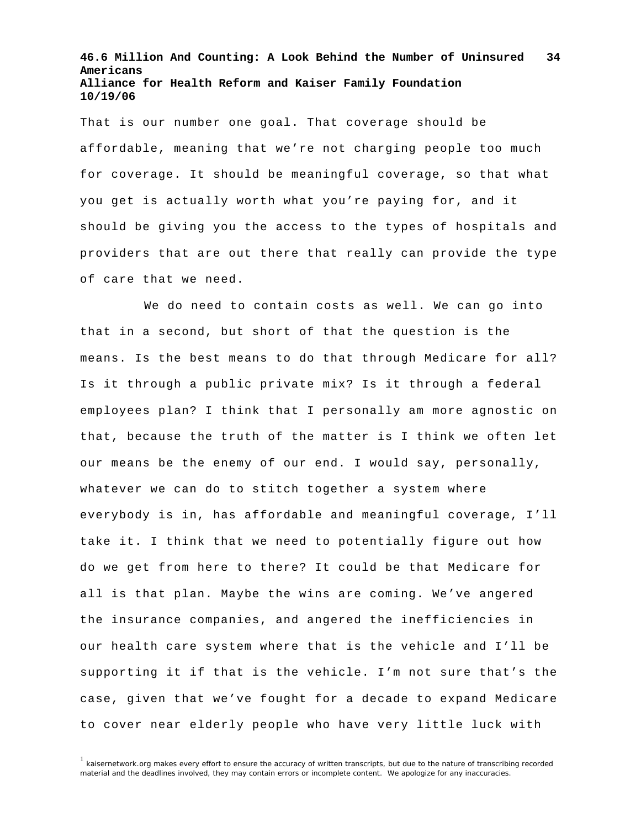That is our number one goal. That coverage should be affordable, meaning that we're not charging people too much for coverage. It should be meaningful coverage, so that what you get is actually worth what you're paying for, and it should be giving you the access to the types of hospitals and providers that are out there that really can provide the type of care that we need.

We do need to contain costs as well. We can go into that in a second, but short of that the question is the means. Is the best means to do that through Medicare for all? Is it through a public private mix? Is it through a federal employees plan? I think that I personally am more agnostic on that, because the truth of the matter is I think we often let our means be the enemy of our end. I would say, personally, whatever we can do to stitch together a system where everybody is in, has affordable and meaningful coverage, I'll take it. I think that we need to potentially figure out how do we get from here to there? It could be that Medicare for all is that plan. Maybe the wins are coming. We've angered the insurance companies, and angered the inefficiencies in our health care system where that is the vehicle and I'll be supporting it if that is the vehicle. I'm not sure that's the case, given that we've fought for a decade to expand Medicare to cover near elderly people who have very little luck with

 $1$  kaisernetwork.org makes every effort to ensure the accuracy of written transcripts, but due to the nature of transcribing recorded material and the deadlines involved, they may contain errors or incomplete content. We apologize for any inaccuracies.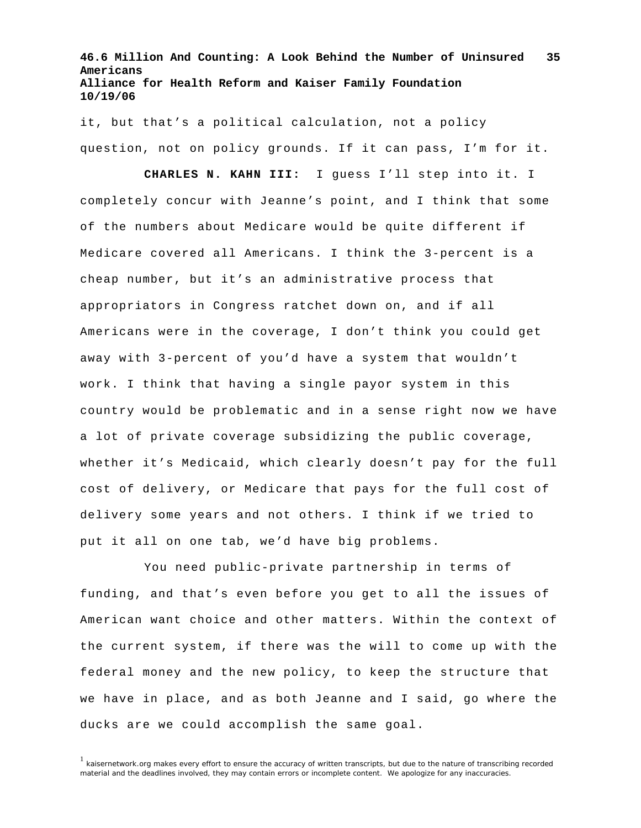it, but that's a political calculation, not a policy question, not on policy grounds. If it can pass, I'm for it.

 **CHARLES N. KAHN III:** I guess I'll step into it. I completely concur with Jeanne's point, and I think that some of the numbers about Medicare would be quite different if Medicare covered all Americans. I think the 3-percent is a cheap number, but it's an administrative process that appropriators in Congress ratchet down on, and if all Americans were in the coverage, I don't think you could get away with 3-percent of you'd have a system that wouldn't work. I think that having a single payor system in this country would be problematic and in a sense right now we have a lot of private coverage subsidizing the public coverage, whether it's Medicaid, which clearly doesn't pay for the full cost of delivery, or Medicare that pays for the full cost of delivery some years and not others. I think if we tried to put it all on one tab, we'd have big problems.

 You need public-private partnership in terms of funding, and that's even before you get to all the issues of American want choice and other matters. Within the context of the current system, if there was the will to come up with the federal money and the new policy, to keep the structure that we have in place, and as both Jeanne and I said, go where the ducks are we could accomplish the same goal.

 $1$  kaisernetwork.org makes every effort to ensure the accuracy of written transcripts, but due to the nature of transcribing recorded material and the deadlines involved, they may contain errors or incomplete content. We apologize for any inaccuracies.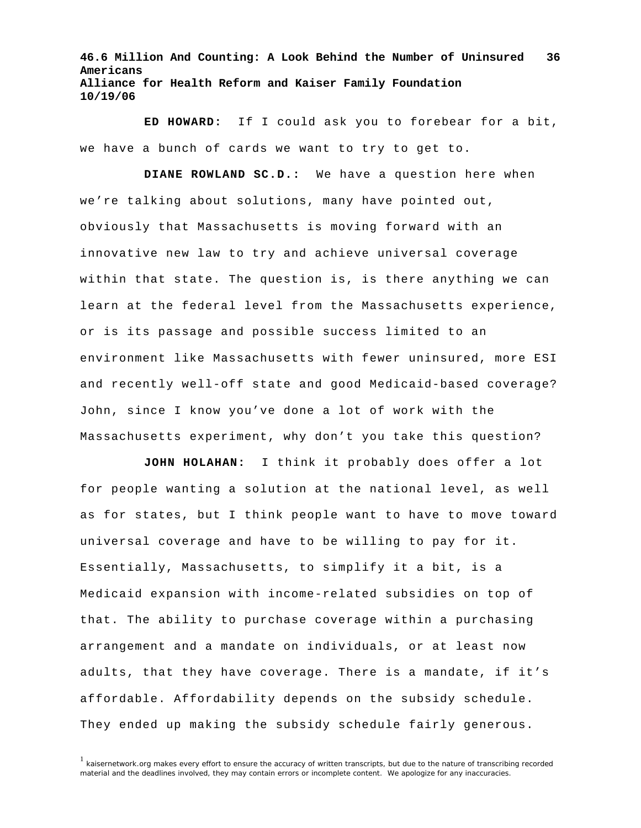**ED HOWARD:** If I could ask you to forebear for a bit, we have a bunch of cards we want to try to get to.

**DIANE ROWLAND SC.D.:** We have a question here when we're talking about solutions, many have pointed out, obviously that Massachusetts is moving forward with an innovative new law to try and achieve universal coverage within that state. The question is, is there anything we can learn at the federal level from the Massachusetts experience, or is its passage and possible success limited to an environment like Massachusetts with fewer uninsured, more ESI and recently well-off state and good Medicaid-based coverage? John, since I know you've done a lot of work with the Massachusetts experiment, why don't you take this question?

**JOHN HOLAHAN:** I think it probably does offer a lot for people wanting a solution at the national level, as well as for states, but I think people want to have to move toward universal coverage and have to be willing to pay for it. Essentially, Massachusetts, to simplify it a bit, is a Medicaid expansion with income-related subsidies on top of that. The ability to purchase coverage within a purchasing arrangement and a mandate on individuals, or at least now adults, that they have coverage. There is a mandate, if it's affordable. Affordability depends on the subsidy schedule. They ended up making the subsidy schedule fairly generous.

<sup>&</sup>lt;sup>1</sup> kaisernetwork.org makes every effort to ensure the accuracy of written transcripts, but due to the nature of transcribing recorded material and the deadlines involved, they may contain errors or incomplete content. We apologize for any inaccuracies.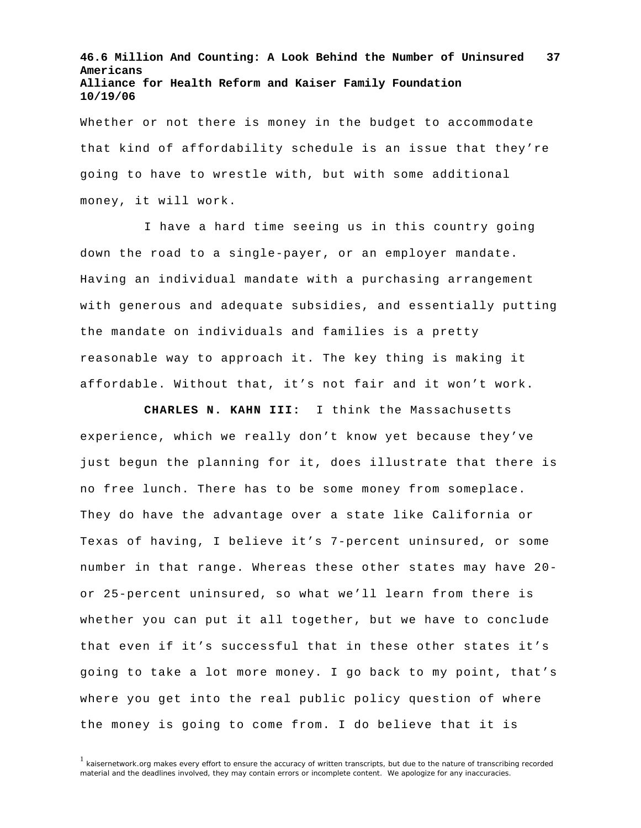Whether or not there is money in the budget to accommodate that kind of affordability schedule is an issue that they're going to have to wrestle with, but with some additional money, it will work.

I have a hard time seeing us in this country going down the road to a single-payer, or an employer mandate. Having an individual mandate with a purchasing arrangement with generous and adequate subsidies, and essentially putting the mandate on individuals and families is a pretty reasonable way to approach it. The key thing is making it affordable. Without that, it's not fair and it won't work.

 **CHARLES N. KAHN III:** I think the Massachusetts experience, which we really don't know yet because they've just begun the planning for it, does illustrate that there is no free lunch. There has to be some money from someplace. They do have the advantage over a state like California or Texas of having, I believe it's 7-percent uninsured, or some number in that range. Whereas these other states may have 20 or 25-percent uninsured, so what we'll learn from there is whether you can put it all together, but we have to conclude that even if it's successful that in these other states it's going to take a lot more money. I go back to my point, that's where you get into the real public policy question of where the money is going to come from. I do believe that it is

 $<sup>1</sup>$  kaisernetwork.org makes every effort to ensure the accuracy of written transcripts, but due to the nature of transcribing recorded</sup> material and the deadlines involved, they may contain errors or incomplete content. We apologize for any inaccuracies.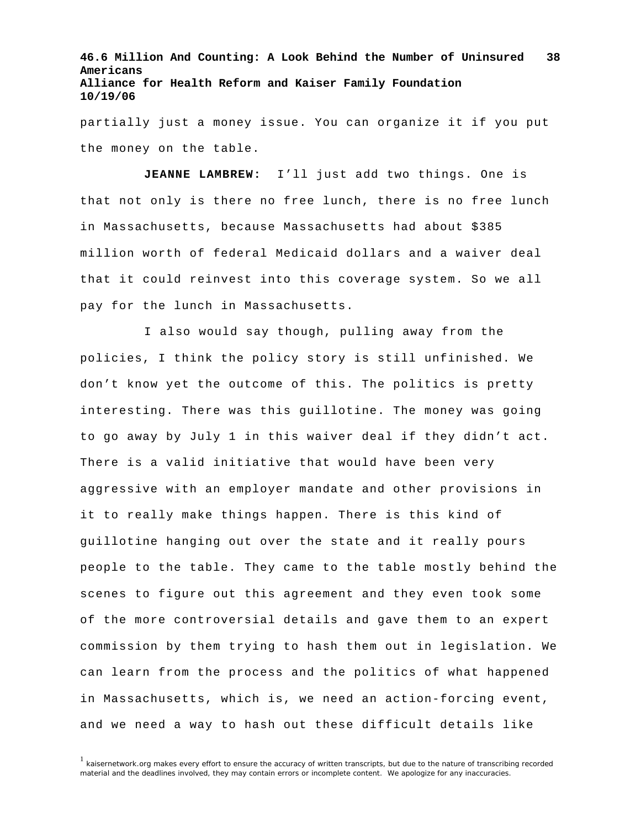partially just a money issue. You can organize it if you put the money on the table.

**JEANNE LAMBREW:** I'll just add two things. One is that not only is there no free lunch, there is no free lunch in Massachusetts, because Massachusetts had about \$385 million worth of federal Medicaid dollars and a waiver deal that it could reinvest into this coverage system. So we all pay for the lunch in Massachusetts.

I also would say though, pulling away from the policies, I think the policy story is still unfinished. We don't know yet the outcome of this. The politics is pretty interesting. There was this guillotine. The money was going to go away by July 1 in this waiver deal if they didn't act. There is a valid initiative that would have been very aggressive with an employer mandate and other provisions in it to really make things happen. There is this kind of guillotine hanging out over the state and it really pours people to the table. They came to the table mostly behind the scenes to figure out this agreement and they even took some of the more controversial details and gave them to an expert commission by them trying to hash them out in legislation. We can learn from the process and the politics of what happened in Massachusetts, which is, we need an action-forcing event, and we need a way to hash out these difficult details like

<sup>&</sup>lt;sup>1</sup> kaisernetwork.org makes every effort to ensure the accuracy of written transcripts, but due to the nature of transcribing recorded material and the deadlines involved, they may contain errors or incomplete content. We apologize for any inaccuracies.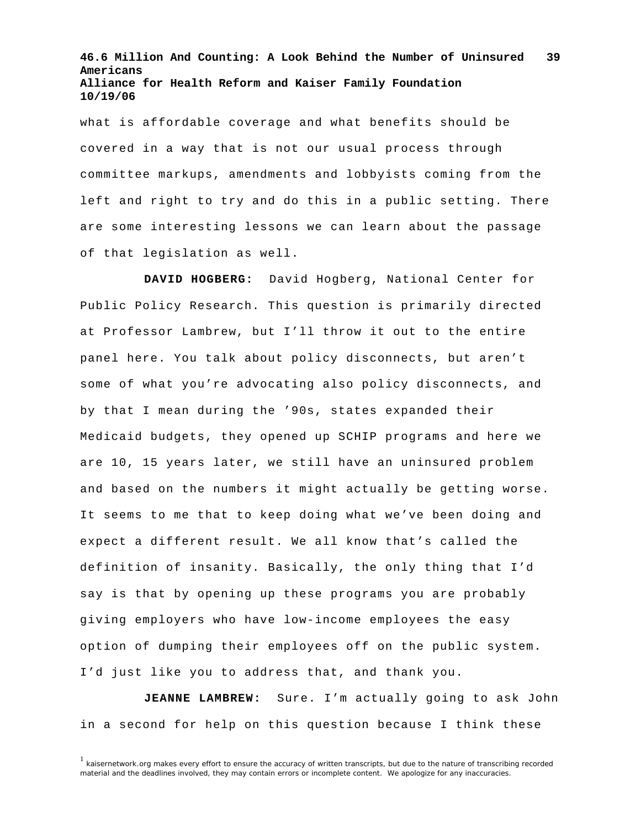what is affordable coverage and what benefits should be covered in a way that is not our usual process through committee markups, amendments and lobbyists coming from the left and right to try and do this in a public setting. There are some interesting lessons we can learn about the passage of that legislation as well.

**DAVID HOGBERG:** David Hogberg, National Center for Public Policy Research. This question is primarily directed at Professor Lambrew, but I'll throw it out to the entire panel here. You talk about policy disconnects, but aren't some of what you're advocating also policy disconnects, and by that I mean during the '90s, states expanded their Medicaid budgets, they opened up SCHIP programs and here we are 10, 15 years later, we still have an uninsured problem and based on the numbers it might actually be getting worse. It seems to me that to keep doing what we've been doing and expect a different result. We all know that's called the definition of insanity. Basically, the only thing that I'd say is that by opening up these programs you are probably giving employers who have low-income employees the easy option of dumping their employees off on the public system. I'd just like you to address that, and thank you.

**JEANNE LAMBREW:** Sure. I'm actually going to ask John in a second for help on this question because I think these

<sup>1</sup> kaisernetwork.org makes every effort to ensure the accuracy of written transcripts, but due to the nature of transcribing recorded material and the deadlines involved, they may contain errors or incomplete content. We apologize for any inaccuracies.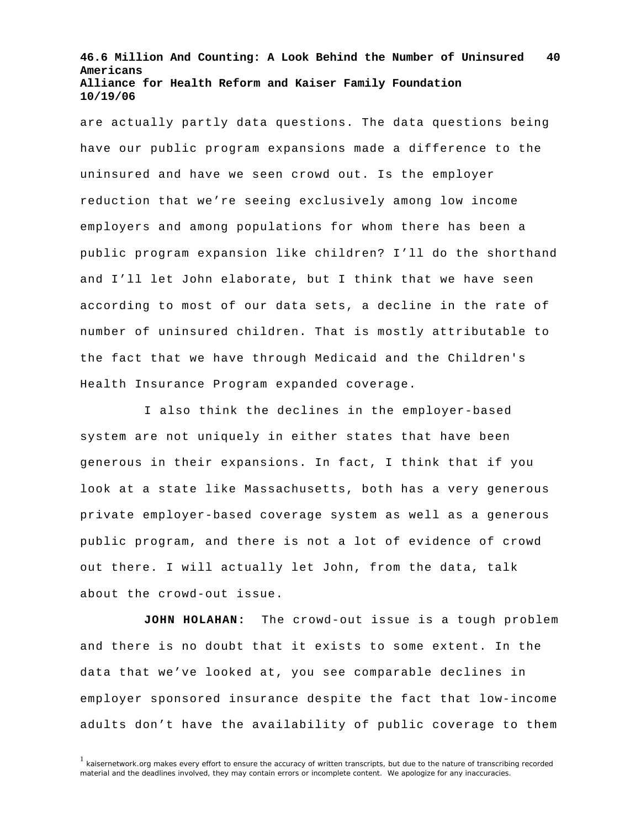are actually partly data questions. The data questions being have our public program expansions made a difference to the uninsured and have we seen crowd out. Is the employer reduction that we're seeing exclusively among low income employers and among populations for whom there has been a public program expansion like children? I'll do the shorthand and I'll let John elaborate, but I think that we have seen according to most of our data sets, a decline in the rate of number of uninsured children. That is mostly attributable to the fact that we have through Medicaid and the Children's Health Insurance Program expanded coverage.

I also think the declines in the employer-based system are not uniquely in either states that have been generous in their expansions. In fact, I think that if you look at a state like Massachusetts, both has a very generous private employer-based coverage system as well as a generous public program, and there is not a lot of evidence of crowd out there. I will actually let John, from the data, talk about the crowd-out issue.

**JOHN HOLAHAN:** The crowd-out issue is a tough problem and there is no doubt that it exists to some extent. In the data that we've looked at, you see comparable declines in employer sponsored insurance despite the fact that low-income adults don't have the availability of public coverage to them

 $1$  kaisernetwork.org makes every effort to ensure the accuracy of written transcripts, but due to the nature of transcribing recorded material and the deadlines involved, they may contain errors or incomplete content. We apologize for any inaccuracies.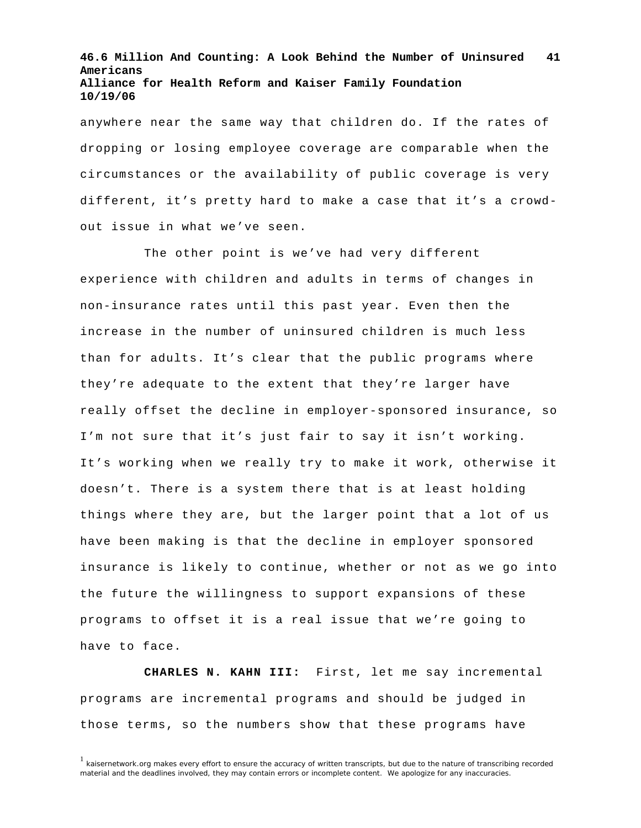anywhere near the same way that children do. If the rates of dropping or losing employee coverage are comparable when the circumstances or the availability of public coverage is very different, it's pretty hard to make a case that it's a crowdout issue in what we've seen.

The other point is we've had very different experience with children and adults in terms of changes in non-insurance rates until this past year. Even then the increase in the number of uninsured children is much less than for adults. It's clear that the public programs where they're adequate to the extent that they're larger have really offset the decline in employer-sponsored insurance, so I'm not sure that it's just fair to say it isn't working. It's working when we really try to make it work, otherwise it doesn't. There is a system there that is at least holding things where they are, but the larger point that a lot of us have been making is that the decline in employer sponsored insurance is likely to continue, whether or not as we go into the future the willingness to support expansions of these programs to offset it is a real issue that we're going to have to face.

**CHARLES N. KAHN III:** First, let me say incremental programs are incremental programs and should be judged in those terms, so the numbers show that these programs have

 $<sup>1</sup>$  kaisernetwork.org makes every effort to ensure the accuracy of written transcripts, but due to the nature of transcribing recorded</sup> material and the deadlines involved, they may contain errors or incomplete content. We apologize for any inaccuracies.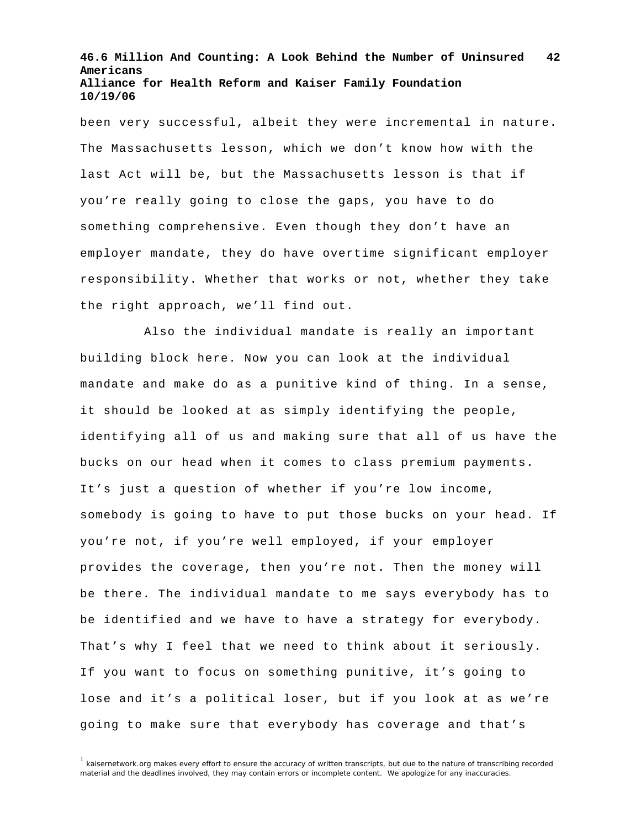been very successful, albeit they were incremental in nature. The Massachusetts lesson, which we don't know how with the last Act will be, but the Massachusetts lesson is that if you're really going to close the gaps, you have to do something comprehensive. Even though they don't have an employer mandate, they do have overtime significant employer responsibility. Whether that works or not, whether they take the right approach, we'll find out.

Also the individual mandate is really an important building block here. Now you can look at the individual mandate and make do as a punitive kind of thing. In a sense, it should be looked at as simply identifying the people, identifying all of us and making sure that all of us have the bucks on our head when it comes to class premium payments. It's just a question of whether if you're low income, somebody is going to have to put those bucks on your head. If you're not, if you're well employed, if your employer provides the coverage, then you're not. Then the money will be there. The individual mandate to me says everybody has to be identified and we have to have a strategy for everybody. That's why I feel that we need to think about it seriously. If you want to focus on something punitive, it's going to lose and it's a political loser, but if you look at as we're going to make sure that everybody has coverage and that's

<sup>&</sup>lt;sup>1</sup> kaisernetwork.org makes every effort to ensure the accuracy of written transcripts, but due to the nature of transcribing recorded material and the deadlines involved, they may contain errors or incomplete content. We apologize for any inaccuracies.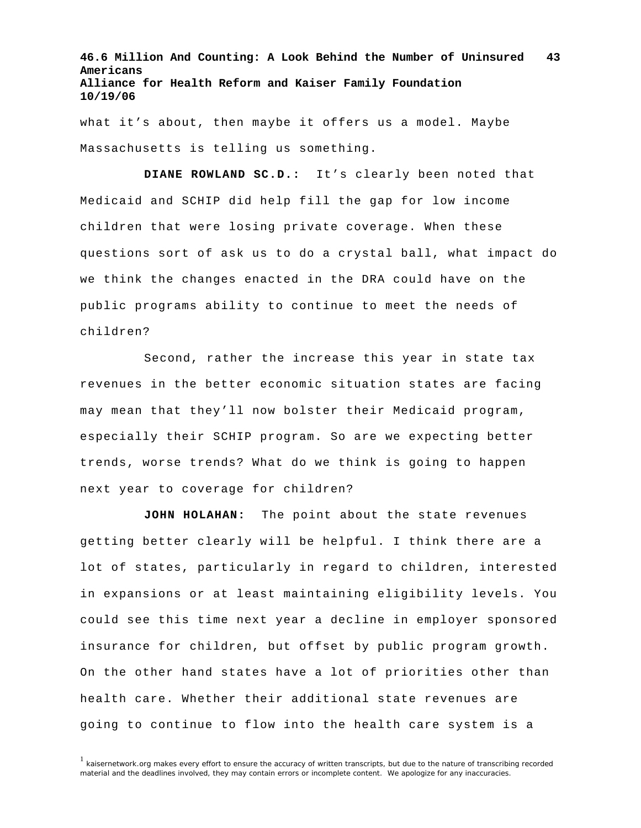what it's about, then maybe it offers us a model. Maybe Massachusetts is telling us something.

**DIANE ROWLAND SC.D.:** It's clearly been noted that Medicaid and SCHIP did help fill the gap for low income children that were losing private coverage. When these questions sort of ask us to do a crystal ball, what impact do we think the changes enacted in the DRA could have on the public programs ability to continue to meet the needs of children?

Second, rather the increase this year in state tax revenues in the better economic situation states are facing may mean that they'll now bolster their Medicaid program, especially their SCHIP program. So are we expecting better trends, worse trends? What do we think is going to happen next year to coverage for children?

**JOHN HOLAHAN:** The point about the state revenues getting better clearly will be helpful. I think there are a lot of states, particularly in regard to children, interested in expansions or at least maintaining eligibility levels. You could see this time next year a decline in employer sponsored insurance for children, but offset by public program growth. On the other hand states have a lot of priorities other than health care. Whether their additional state revenues are going to continue to flow into the health care system is a

<sup>1</sup> kaisernetwork.org makes every effort to ensure the accuracy of written transcripts, but due to the nature of transcribing recorded material and the deadlines involved, they may contain errors or incomplete content. We apologize for any inaccuracies.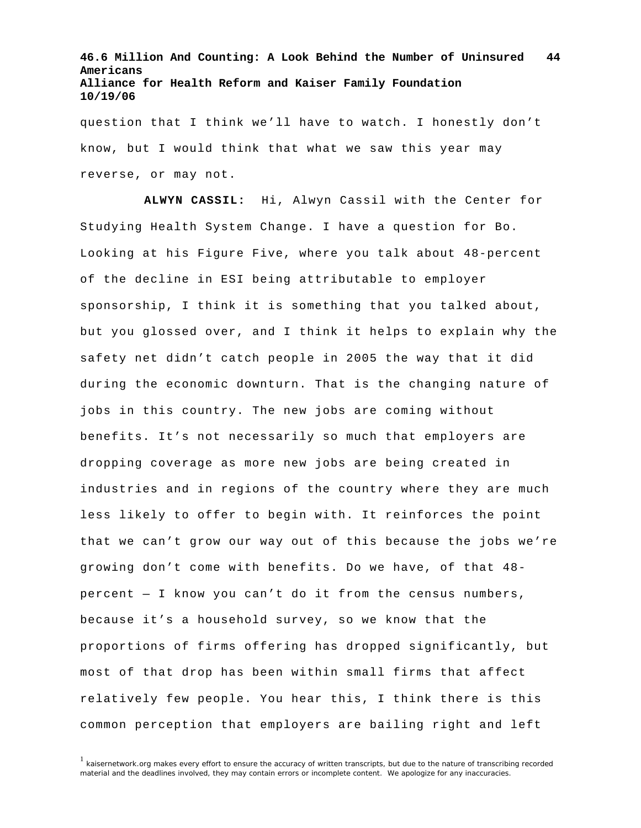question that I think we'll have to watch. I honestly don't know, but I would think that what we saw this year may reverse, or may not.

**ALWYN CASSIL:** Hi, Alwyn Cassil with the Center for Studying Health System Change. I have a question for Bo. Looking at his Figure Five, where you talk about 48-percent of the decline in ESI being attributable to employer sponsorship, I think it is something that you talked about, but you glossed over, and I think it helps to explain why the safety net didn't catch people in 2005 the way that it did during the economic downturn. That is the changing nature of jobs in this country. The new jobs are coming without benefits. It's not necessarily so much that employers are dropping coverage as more new jobs are being created in industries and in regions of the country where they are much less likely to offer to begin with. It reinforces the point that we can't grow our way out of this because the jobs we're growing don't come with benefits. Do we have, of that 48 percent — I know you can't do it from the census numbers, because it's a household survey, so we know that the proportions of firms offering has dropped significantly, but most of that drop has been within small firms that affect relatively few people. You hear this, I think there is this common perception that employers are bailing right and left

 $1$  kaisernetwork.org makes every effort to ensure the accuracy of written transcripts, but due to the nature of transcribing recorded material and the deadlines involved, they may contain errors or incomplete content. We apologize for any inaccuracies.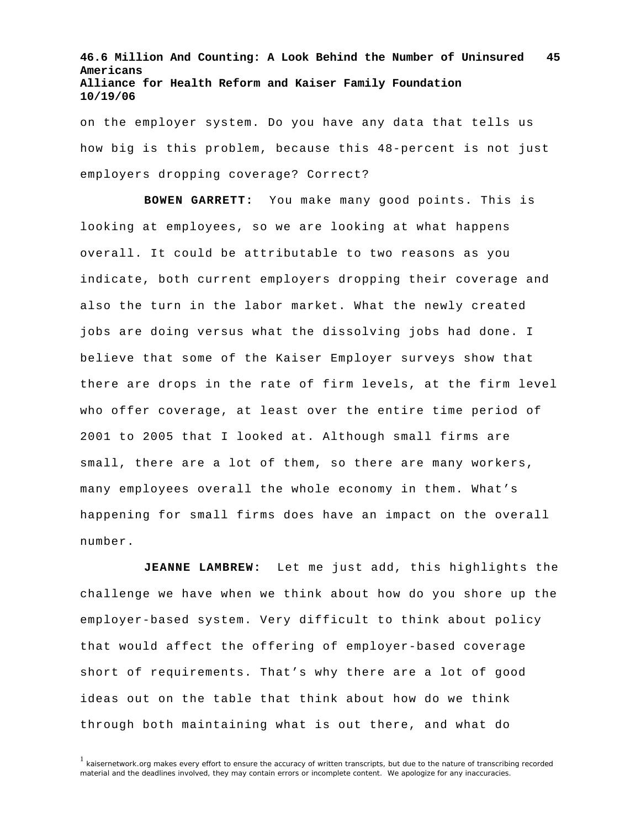on the employer system. Do you have any data that tells us how big is this problem, because this 48-percent is not just employers dropping coverage? Correct?

**BOWEN GARRETT:** You make many good points. This is looking at employees, so we are looking at what happens overall. It could be attributable to two reasons as you indicate, both current employers dropping their coverage and also the turn in the labor market. What the newly created jobs are doing versus what the dissolving jobs had done. I believe that some of the Kaiser Employer surveys show that there are drops in the rate of firm levels, at the firm level who offer coverage, at least over the entire time period of 2001 to 2005 that I looked at. Although small firms are small, there are a lot of them, so there are many workers, many employees overall the whole economy in them. What's happening for small firms does have an impact on the overall number.

**JEANNE LAMBREW:** Let me just add, this highlights the challenge we have when we think about how do you shore up the employer-based system. Very difficult to think about policy that would affect the offering of employer-based coverage short of requirements. That's why there are a lot of good ideas out on the table that think about how do we think through both maintaining what is out there, and what do

 $<sup>1</sup>$  kaisernetwork.org makes every effort to ensure the accuracy of written transcripts, but due to the nature of transcribing recorded</sup> material and the deadlines involved, they may contain errors or incomplete content. We apologize for any inaccuracies.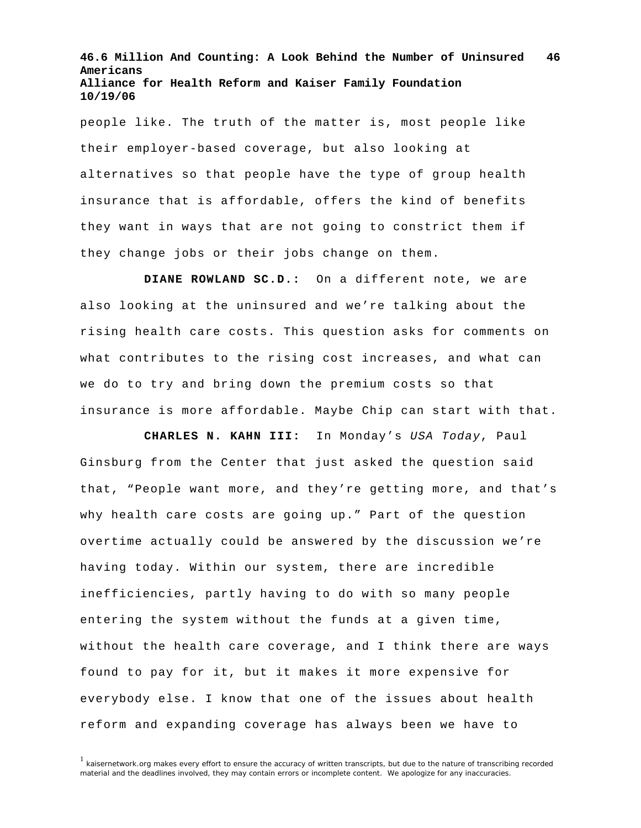people like. The truth of the matter is, most people like their employer-based coverage, but also looking at alternatives so that people have the type of group health insurance that is affordable, offers the kind of benefits they want in ways that are not going to constrict them if they change jobs or their jobs change on them.

**DIANE ROWLAND SC.D.:** On a different note, we are also looking at the uninsured and we're talking about the rising health care costs. This question asks for comments on what contributes to the rising cost increases, and what can we do to try and bring down the premium costs so that insurance is more affordable. Maybe Chip can start with that.

**CHARLES N. KAHN III:** In Monday's *USA Today*, Paul Ginsburg from the Center that just asked the question said that, "People want more, and they're getting more, and that's why health care costs are going up." Part of the question overtime actually could be answered by the discussion we're having today. Within our system, there are incredible inefficiencies, partly having to do with so many people entering the system without the funds at a given time, without the health care coverage, and I think there are ways found to pay for it, but it makes it more expensive for everybody else. I know that one of the issues about health reform and expanding coverage has always been we have to

 $<sup>1</sup>$  kaisernetwork.org makes every effort to ensure the accuracy of written transcripts, but due to the nature of transcribing recorded</sup> material and the deadlines involved, they may contain errors or incomplete content. We apologize for any inaccuracies.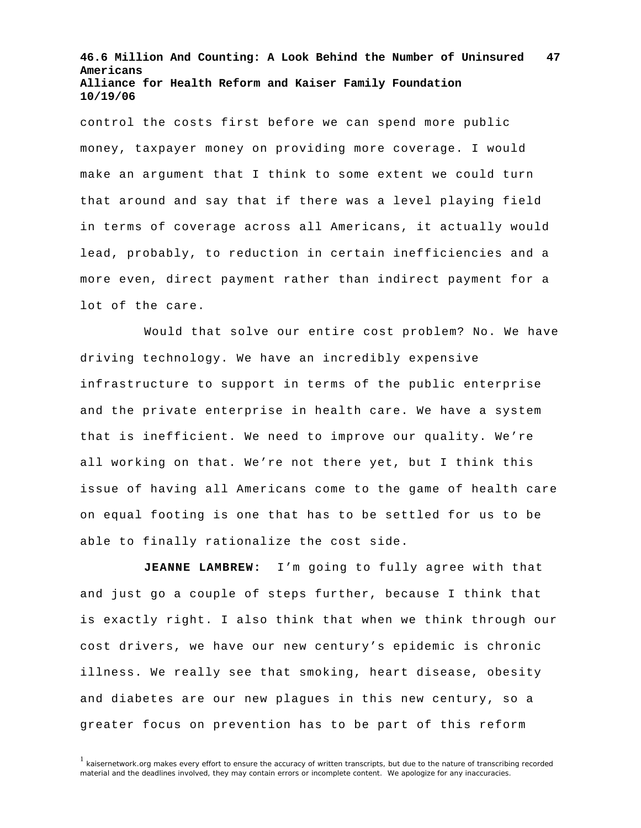control the costs first before we can spend more public money, taxpayer money on providing more coverage. I would make an argument that I think to some extent we could turn that around and say that if there was a level playing field in terms of coverage across all Americans, it actually would lead, probably, to reduction in certain inefficiencies and a more even, direct payment rather than indirect payment for a lot of the care.

Would that solve our entire cost problem? No. We have driving technology. We have an incredibly expensive infrastructure to support in terms of the public enterprise and the private enterprise in health care. We have a system that is inefficient. We need to improve our quality. We're all working on that. We're not there yet, but I think this issue of having all Americans come to the game of health care on equal footing is one that has to be settled for us to be able to finally rationalize the cost side.

**JEANNE LAMBREW:** I'm going to fully agree with that and just go a couple of steps further, because I think that is exactly right. I also think that when we think through our cost drivers, we have our new century's epidemic is chronic illness. We really see that smoking, heart disease, obesity and diabetes are our new plagues in this new century, so a greater focus on prevention has to be part of this reform

<sup>&</sup>lt;sup>1</sup> kaisernetwork.org makes every effort to ensure the accuracy of written transcripts, but due to the nature of transcribing recorded material and the deadlines involved, they may contain errors or incomplete content. We apologize for any inaccuracies.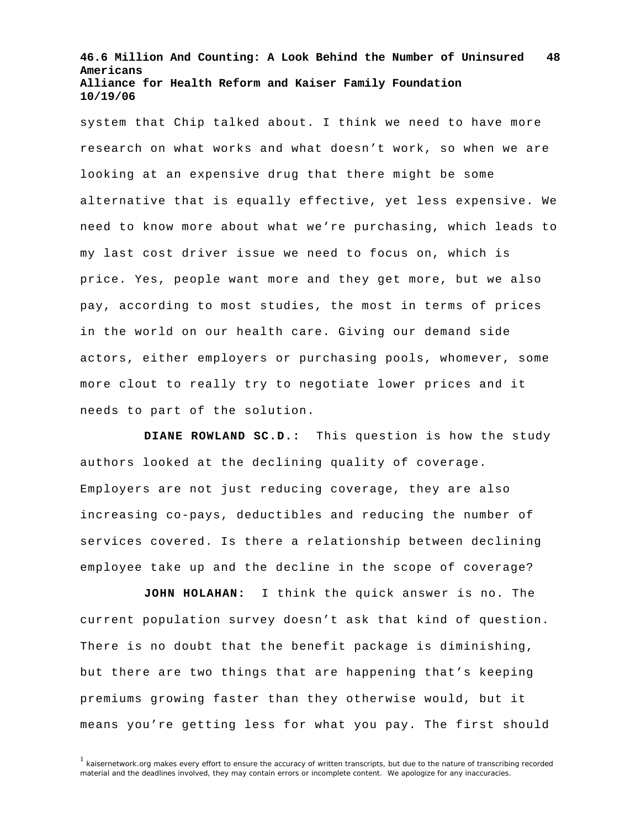system that Chip talked about. I think we need to have more research on what works and what doesn't work, so when we are looking at an expensive drug that there might be some alternative that is equally effective, yet less expensive. We need to know more about what we're purchasing, which leads to my last cost driver issue we need to focus on, which is price. Yes, people want more and they get more, but we also pay, according to most studies, the most in terms of prices in the world on our health care. Giving our demand side actors, either employers or purchasing pools, whomever, some more clout to really try to negotiate lower prices and it needs to part of the solution.

**DIANE ROWLAND SC.D.:** This question is how the study authors looked at the declining quality of coverage. Employers are not just reducing coverage, they are also increasing co-pays, deductibles and reducing the number of services covered. Is there a relationship between declining employee take up and the decline in the scope of coverage?

**JOHN HOLAHAN:** I think the quick answer is no. The current population survey doesn't ask that kind of question. There is no doubt that the benefit package is diminishing, but there are two things that are happening that's keeping premiums growing faster than they otherwise would, but it means you're getting less for what you pay. The first should

 $1$  kaisernetwork.org makes every effort to ensure the accuracy of written transcripts, but due to the nature of transcribing recorded material and the deadlines involved, they may contain errors or incomplete content. We apologize for any inaccuracies.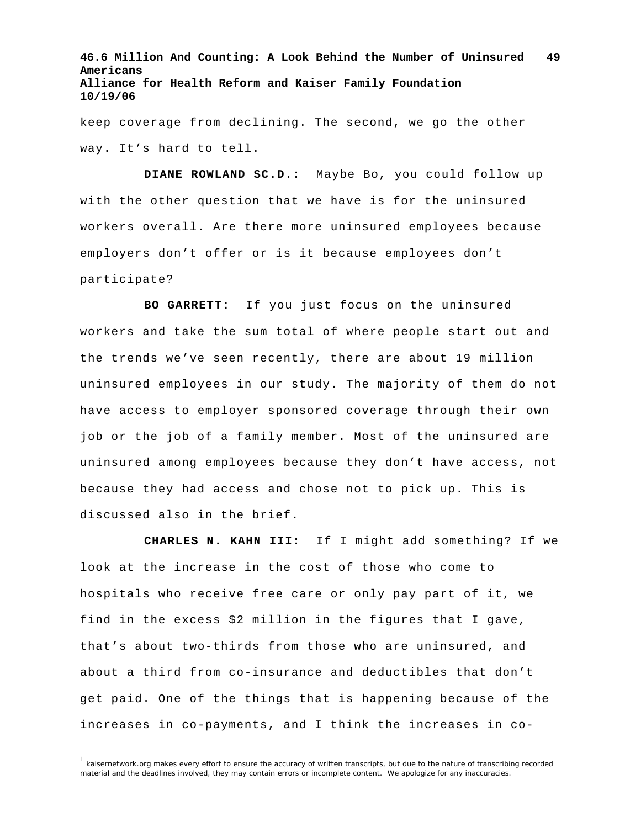keep coverage from declining. The second, we go the other way. It's hard to tell.

**DIANE ROWLAND SC.D.:** Maybe Bo, you could follow up with the other question that we have is for the uninsured workers overall. Are there more uninsured employees because employers don't offer or is it because employees don't participate?

**BO GARRETT:** If you just focus on the uninsured workers and take the sum total of where people start out and the trends we've seen recently, there are about 19 million uninsured employees in our study. The majority of them do not have access to employer sponsored coverage through their own job or the job of a family member. Most of the uninsured are uninsured among employees because they don't have access, not because they had access and chose not to pick up. This is discussed also in the brief.

**CHARLES N. KAHN III:** If I might add something? If we look at the increase in the cost of those who come to hospitals who receive free care or only pay part of it, we find in the excess \$2 million in the figures that I gave, that's about two-thirds from those who are uninsured, and about a third from co-insurance and deductibles that don't get paid. One of the things that is happening because of the increases in co-payments, and I think the increases in co-

<sup>1</sup> kaisernetwork.org makes every effort to ensure the accuracy of written transcripts, but due to the nature of transcribing recorded material and the deadlines involved, they may contain errors or incomplete content. We apologize for any inaccuracies.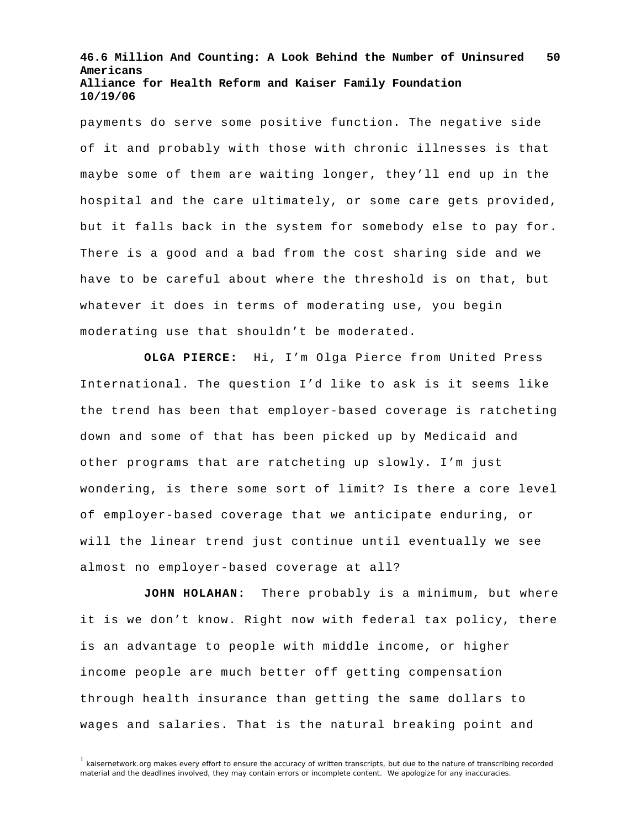payments do serve some positive function. The negative side of it and probably with those with chronic illnesses is that maybe some of them are waiting longer, they'll end up in the hospital and the care ultimately, or some care gets provided, but it falls back in the system for somebody else to pay for. There is a good and a bad from the cost sharing side and we have to be careful about where the threshold is on that, but whatever it does in terms of moderating use, you begin moderating use that shouldn't be moderated.

**OLGA PIERCE:** Hi, I'm Olga Pierce from United Press International. The question I'd like to ask is it seems like the trend has been that employer-based coverage is ratcheting down and some of that has been picked up by Medicaid and other programs that are ratcheting up slowly. I'm just wondering, is there some sort of limit? Is there a core level of employer-based coverage that we anticipate enduring, or will the linear trend just continue until eventually we see almost no employer-based coverage at all?

**JOHN HOLAHAN:** There probably is a minimum, but where it is we don't know. Right now with federal tax policy, there is an advantage to people with middle income, or higher income people are much better off getting compensation through health insurance than getting the same dollars to wages and salaries. That is the natural breaking point and

 $1$  kaisernetwork.org makes every effort to ensure the accuracy of written transcripts, but due to the nature of transcribing recorded material and the deadlines involved, they may contain errors or incomplete content. We apologize for any inaccuracies.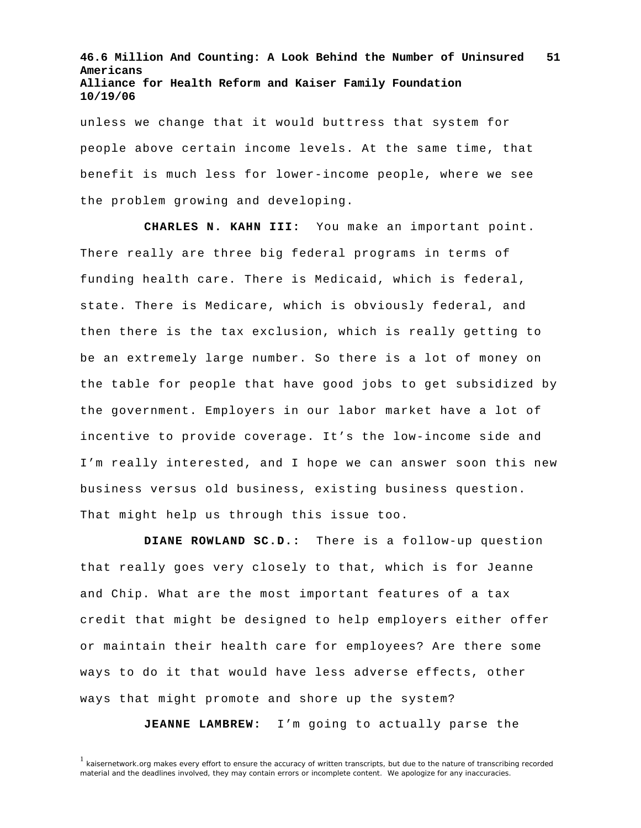unless we change that it would buttress that system for people above certain income levels. At the same time, that benefit is much less for lower-income people, where we see the problem growing and developing.

**CHARLES N. KAHN III:** You make an important point. There really are three big federal programs in terms of funding health care. There is Medicaid, which is federal, state. There is Medicare, which is obviously federal, and then there is the tax exclusion, which is really getting to be an extremely large number. So there is a lot of money on the table for people that have good jobs to get subsidized by the government. Employers in our labor market have a lot of incentive to provide coverage. It's the low-income side and I'm really interested, and I hope we can answer soon this new business versus old business, existing business question. That might help us through this issue too.

**DIANE ROWLAND SC.D.:** There is a follow-up question that really goes very closely to that, which is for Jeanne and Chip. What are the most important features of a tax credit that might be designed to help employers either offer or maintain their health care for employees? Are there some ways to do it that would have less adverse effects, other ways that might promote and shore up the system?

**JEANNE LAMBREW:** I'm going to actually parse the

<sup>&</sup>lt;sup>1</sup> kaisernetwork.org makes every effort to ensure the accuracy of written transcripts, but due to the nature of transcribing recorded material and the deadlines involved, they may contain errors or incomplete content. We apologize for any inaccuracies.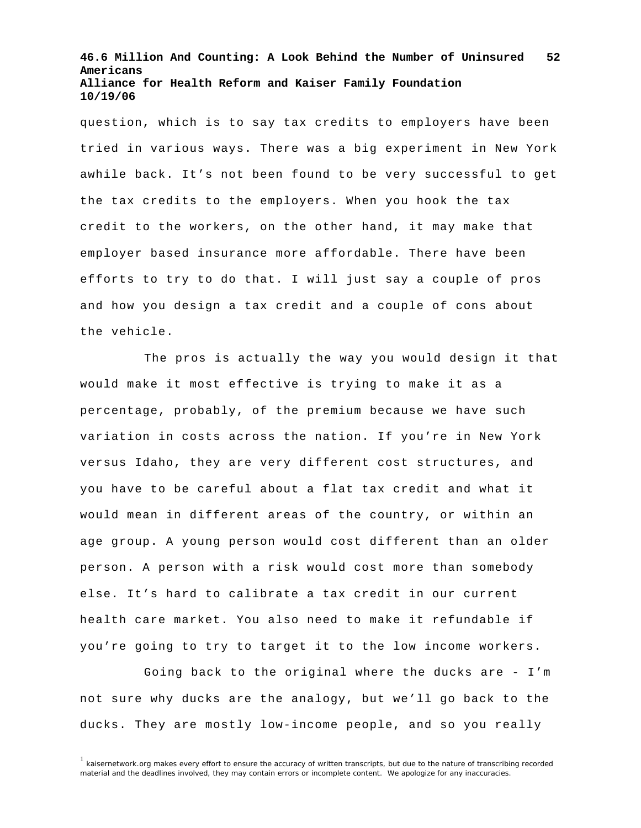question, which is to say tax credits to employers have been tried in various ways. There was a big experiment in New York awhile back. It's not been found to be very successful to get the tax credits to the employers. When you hook the tax credit to the workers, on the other hand, it may make that employer based insurance more affordable. There have been efforts to try to do that. I will just say a couple of pros and how you design a tax credit and a couple of cons about the vehicle.

The pros is actually the way you would design it that would make it most effective is trying to make it as a percentage, probably, of the premium because we have such variation in costs across the nation. If you're in New York versus Idaho, they are very different cost structures, and you have to be careful about a flat tax credit and what it would mean in different areas of the country, or within an age group. A young person would cost different than an older person. A person with a risk would cost more than somebody else. It's hard to calibrate a tax credit in our current health care market. You also need to make it refundable if you're going to try to target it to the low income workers.

 Going back to the original where the ducks are - I'm not sure why ducks are the analogy, but we'll go back to the ducks. They are mostly low-income people, and so you really

 $1$  kaisernetwork.org makes every effort to ensure the accuracy of written transcripts, but due to the nature of transcribing recorded material and the deadlines involved, they may contain errors or incomplete content. We apologize for any inaccuracies.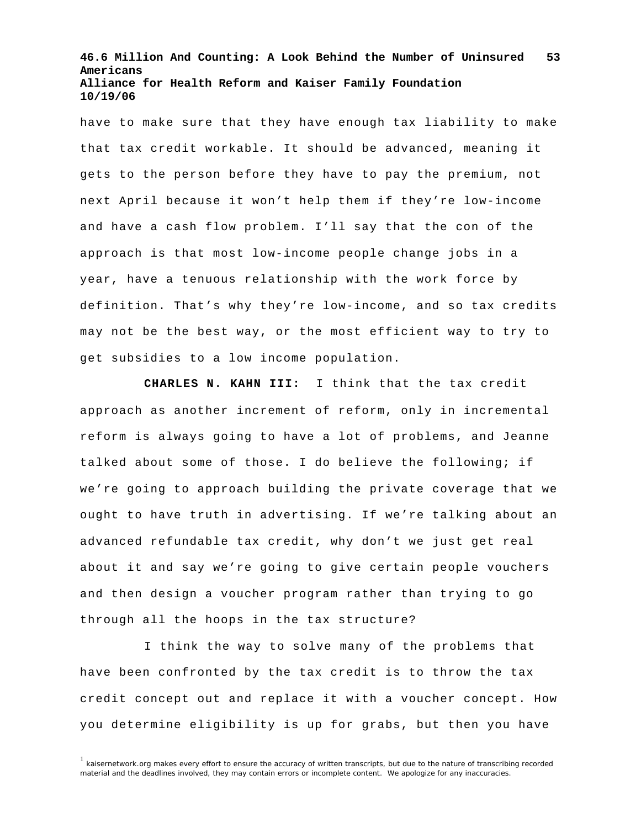have to make sure that they have enough tax liability to make that tax credit workable. It should be advanced, meaning it gets to the person before they have to pay the premium, not next April because it won't help them if they're low-income and have a cash flow problem. I'll say that the con of the approach is that most low-income people change jobs in a year, have a tenuous relationship with the work force by definition. That's why they're low-income, and so tax credits may not be the best way, or the most efficient way to try to get subsidies to a low income population.

**CHARLES N. KAHN III:** I think that the tax credit approach as another increment of reform, only in incremental reform is always going to have a lot of problems, and Jeanne talked about some of those. I do believe the following; if we're going to approach building the private coverage that we ought to have truth in advertising. If we're talking about an advanced refundable tax credit, why don't we just get real about it and say we're going to give certain people vouchers and then design a voucher program rather than trying to go through all the hoops in the tax structure?

I think the way to solve many of the problems that have been confronted by the tax credit is to throw the tax credit concept out and replace it with a voucher concept. How you determine eligibility is up for grabs, but then you have

<sup>&</sup>lt;sup>1</sup> kaisernetwork.org makes every effort to ensure the accuracy of written transcripts, but due to the nature of transcribing recorded material and the deadlines involved, they may contain errors or incomplete content. We apologize for any inaccuracies.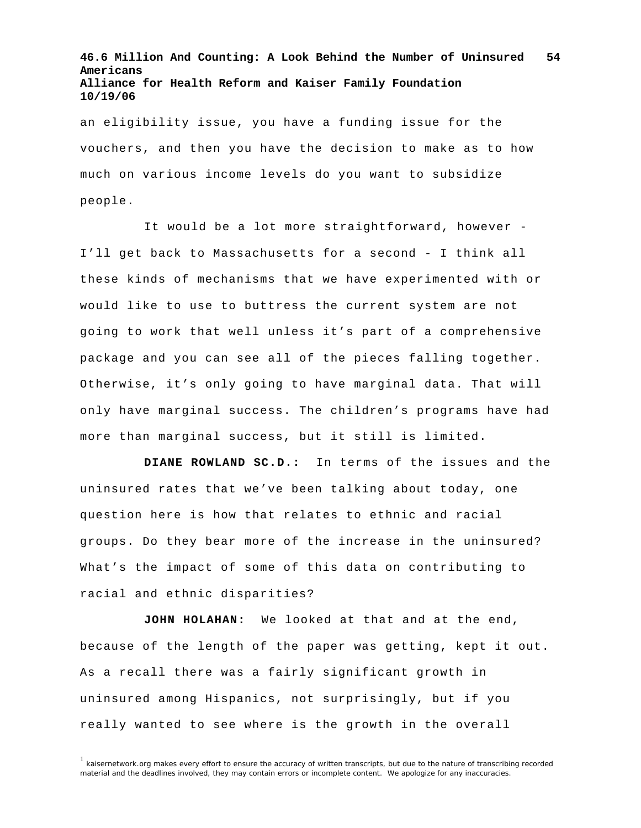an eligibility issue, you have a funding issue for the vouchers, and then you have the decision to make as to how much on various income levels do you want to subsidize people.

It would be a lot more straightforward, however - I'll get back to Massachusetts for a second - I think all these kinds of mechanisms that we have experimented with or would like to use to buttress the current system are not going to work that well unless it's part of a comprehensive package and you can see all of the pieces falling together. Otherwise, it's only going to have marginal data. That will only have marginal success. The children's programs have had more than marginal success, but it still is limited.

**DIANE ROWLAND SC.D.:** In terms of the issues and the uninsured rates that we've been talking about today, one question here is how that relates to ethnic and racial groups. Do they bear more of the increase in the uninsured? What's the impact of some of this data on contributing to racial and ethnic disparities?

**JOHN HOLAHAN:** We looked at that and at the end, because of the length of the paper was getting, kept it out. As a recall there was a fairly significant growth in uninsured among Hispanics, not surprisingly, but if you really wanted to see where is the growth in the overall

<sup>&</sup>lt;sup>1</sup> kaisernetwork.org makes every effort to ensure the accuracy of written transcripts, but due to the nature of transcribing recorded material and the deadlines involved, they may contain errors or incomplete content. We apologize for any inaccuracies.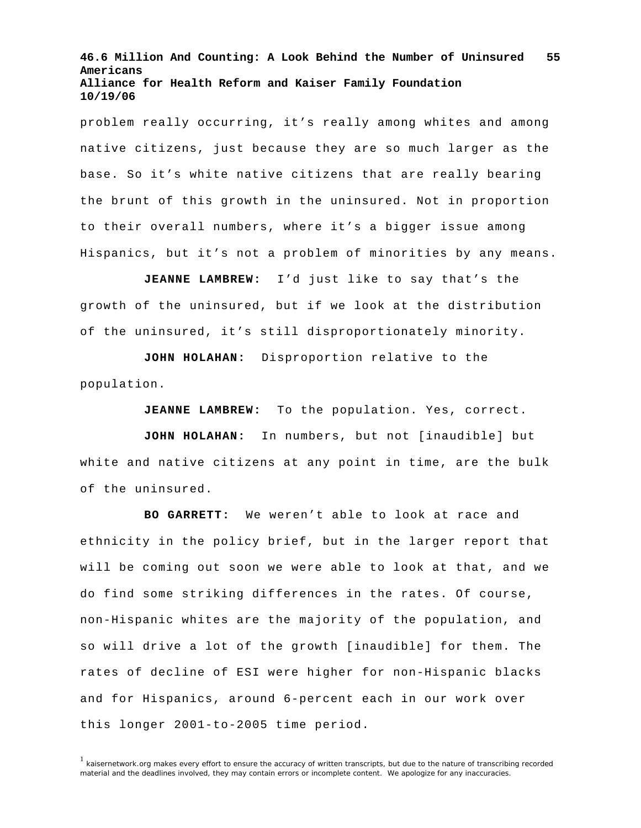problem really occurring, it's really among whites and among native citizens, just because they are so much larger as the base. So it's white native citizens that are really bearing the brunt of this growth in the uninsured. Not in proportion to their overall numbers, where it's a bigger issue among Hispanics, but it's not a problem of minorities by any means.

**JEANNE LAMBREW:** I'd just like to say that's the growth of the uninsured, but if we look at the distribution of the uninsured, it's still disproportionately minority.

**JOHN HOLAHAN:** Disproportion relative to the population.

**JEANNE LAMBREW:** To the population. Yes, correct.

**JOHN HOLAHAN:** In numbers, but not [inaudible] but white and native citizens at any point in time, are the bulk of the uninsured.

**BO GARRETT:** We weren't able to look at race and ethnicity in the policy brief, but in the larger report that will be coming out soon we were able to look at that, and we do find some striking differences in the rates. Of course, non-Hispanic whites are the majority of the population, and so will drive a lot of the growth [inaudible] for them. The rates of decline of ESI were higher for non-Hispanic blacks and for Hispanics, around 6-percent each in our work over this longer 2001-to-2005 time period.

 $<sup>1</sup>$  kaisernetwork.org makes every effort to ensure the accuracy of written transcripts, but due to the nature of transcribing recorded</sup> material and the deadlines involved, they may contain errors or incomplete content. We apologize for any inaccuracies.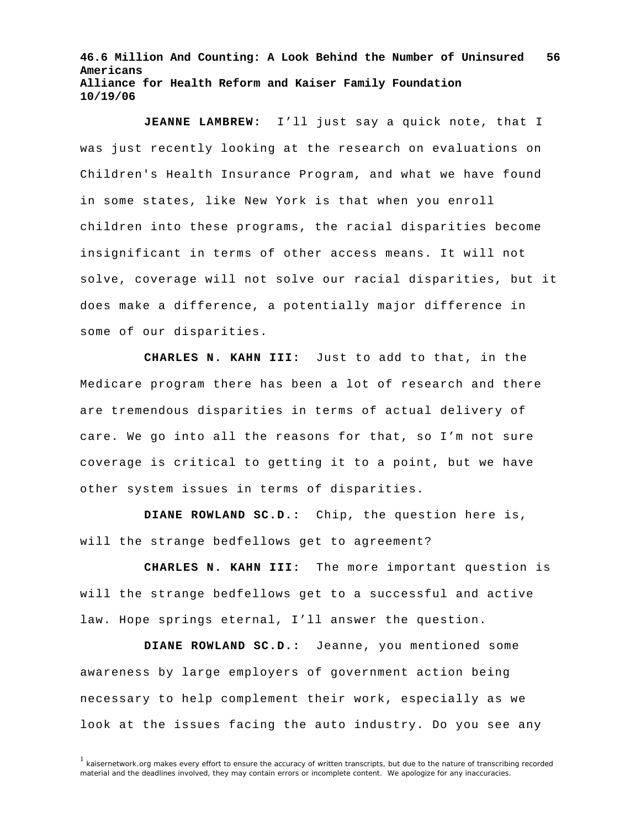**JEANNE LAMBREW:** I'll just say a quick note, that I was just recently looking at the research on evaluations on Children's Health Insurance Program, and what we have found in some states, like New York is that when you enroll children into these programs, the racial disparities become insignificant in terms of other access means. It will not solve, coverage will not solve our racial disparities, but it does make a difference, a potentially major difference in some of our disparities.

**CHARLES N. KAHN III:** Just to add to that, in the Medicare program there has been a lot of research and there are tremendous disparities in terms of actual delivery of care. We go into all the reasons for that, so I'm not sure coverage is critical to getting it to a point, but we have other system issues in terms of disparities.

**DIANE ROWLAND SC.D.:** Chip, the question here is, will the strange bedfellows get to agreement?

**CHARLES N. KAHN III:** The more important question is will the strange bedfellows get to a successful and active law. Hope springs eternal, I'll answer the question.

**DIANE ROWLAND SC.D.:** Jeanne, you mentioned some awareness by large employers of government action being necessary to help complement their work, especially as we look at the issues facing the auto industry. Do you see any

<sup>&</sup>lt;sup>1</sup> kaisernetwork.org makes every effort to ensure the accuracy of written transcripts, but due to the nature of transcribing recorded material and the deadlines involved, they may contain errors or incomplete content. We apologize for any inaccuracies.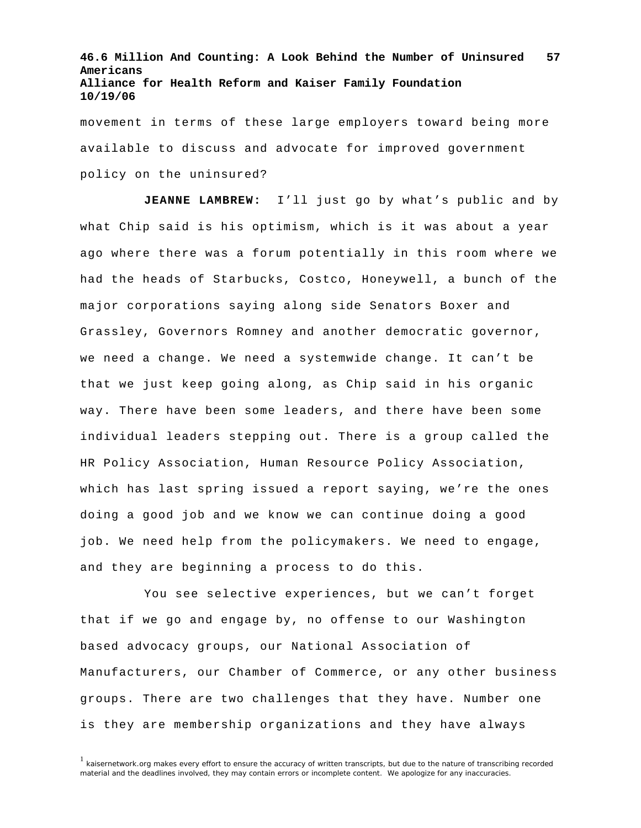movement in terms of these large employers toward being more available to discuss and advocate for improved government policy on the uninsured?

**JEANNE LAMBREW:** I'll just go by what's public and by what Chip said is his optimism, which is it was about a year ago where there was a forum potentially in this room where we had the heads of Starbucks, Costco, Honeywell, a bunch of the major corporations saying along side Senators Boxer and Grassley, Governors Romney and another democratic governor, we need a change. We need a systemwide change. It can't be that we just keep going along, as Chip said in his organic way. There have been some leaders, and there have been some individual leaders stepping out. There is a group called the HR Policy Association, Human Resource Policy Association, which has last spring issued a report saying, we're the ones doing a good job and we know we can continue doing a good job. We need help from the policymakers. We need to engage, and they are beginning a process to do this.

You see selective experiences, but we can't forget that if we go and engage by, no offense to our Washington based advocacy groups, our National Association of Manufacturers, our Chamber of Commerce, or any other business groups. There are two challenges that they have. Number one is they are membership organizations and they have always

<sup>&</sup>lt;sup>1</sup> kaisernetwork.org makes every effort to ensure the accuracy of written transcripts, but due to the nature of transcribing recorded material and the deadlines involved, they may contain errors or incomplete content. We apologize for any inaccuracies.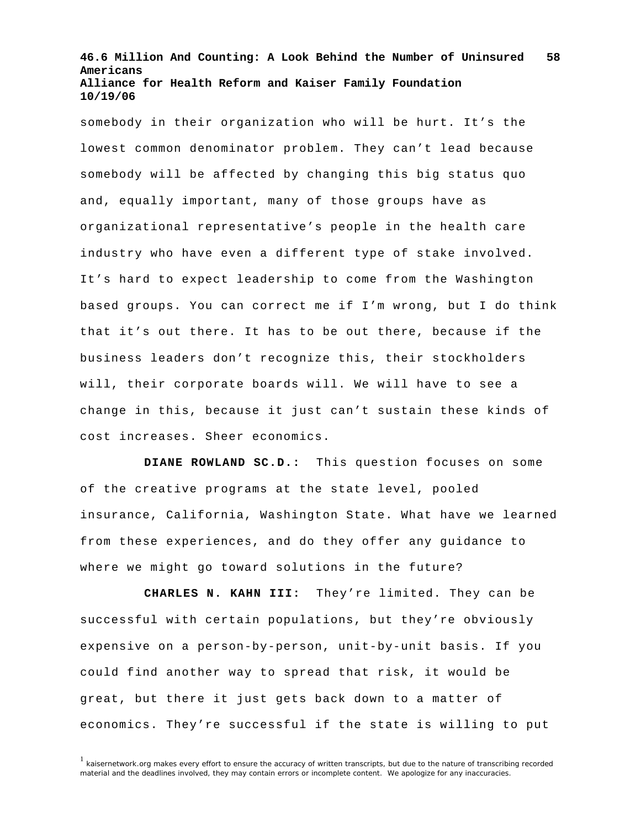somebody in their organization who will be hurt. It's the lowest common denominator problem. They can't lead because somebody will be affected by changing this big status quo and, equally important, many of those groups have as organizational representative's people in the health care industry who have even a different type of stake involved. It's hard to expect leadership to come from the Washington based groups. You can correct me if I'm wrong, but I do think that it's out there. It has to be out there, because if the business leaders don't recognize this, their stockholders will, their corporate boards will. We will have to see a change in this, because it just can't sustain these kinds of cost increases. Sheer economics.

**DIANE ROWLAND SC.D.:** This question focuses on some of the creative programs at the state level, pooled insurance, California, Washington State. What have we learned from these experiences, and do they offer any guidance to where we might go toward solutions in the future?

**CHARLES N. KAHN III:** They're limited. They can be successful with certain populations, but they're obviously expensive on a person-by-person, unit-by-unit basis. If you could find another way to spread that risk, it would be great, but there it just gets back down to a matter of economics. They're successful if the state is willing to put

<sup>&</sup>lt;sup>1</sup> kaisernetwork.org makes every effort to ensure the accuracy of written transcripts, but due to the nature of transcribing recorded material and the deadlines involved, they may contain errors or incomplete content. We apologize for any inaccuracies.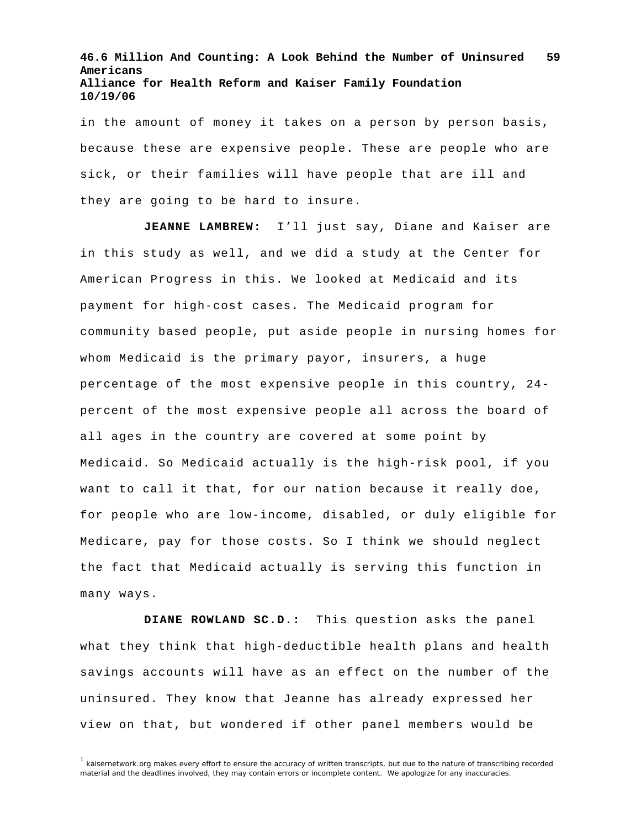in the amount of money it takes on a person by person basis, because these are expensive people. These are people who are sick, or their families will have people that are ill and they are going to be hard to insure.

**JEANNE LAMBREW:** I'll just say, Diane and Kaiser are in this study as well, and we did a study at the Center for American Progress in this. We looked at Medicaid and its payment for high-cost cases. The Medicaid program for community based people, put aside people in nursing homes for whom Medicaid is the primary payor, insurers, a huge percentage of the most expensive people in this country, 24 percent of the most expensive people all across the board of all ages in the country are covered at some point by Medicaid. So Medicaid actually is the high-risk pool, if you want to call it that, for our nation because it really doe, for people who are low-income, disabled, or duly eligible for Medicare, pay for those costs. So I think we should neglect the fact that Medicaid actually is serving this function in many ways.

**DIANE ROWLAND SC.D.:** This question asks the panel what they think that high-deductible health plans and health savings accounts will have as an effect on the number of the uninsured. They know that Jeanne has already expressed her view on that, but wondered if other panel members would be

<sup>1</sup> kaisernetwork.org makes every effort to ensure the accuracy of written transcripts, but due to the nature of transcribing recorded material and the deadlines involved, they may contain errors or incomplete content. We apologize for any inaccuracies.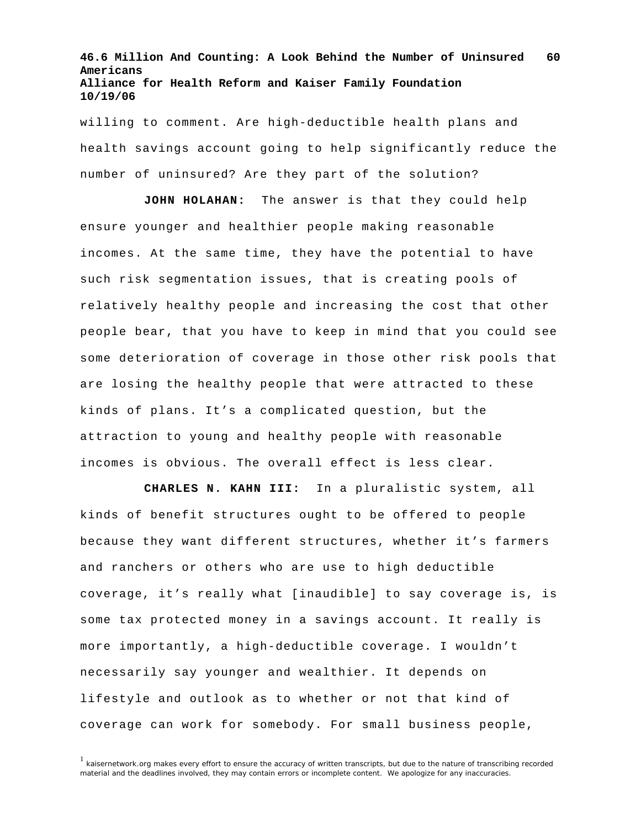willing to comment. Are high-deductible health plans and health savings account going to help significantly reduce the number of uninsured? Are they part of the solution?

**JOHN HOLAHAN:** The answer is that they could help ensure younger and healthier people making reasonable incomes. At the same time, they have the potential to have such risk segmentation issues, that is creating pools of relatively healthy people and increasing the cost that other people bear, that you have to keep in mind that you could see some deterioration of coverage in those other risk pools that are losing the healthy people that were attracted to these kinds of plans. It's a complicated question, but the attraction to young and healthy people with reasonable incomes is obvious. The overall effect is less clear.

**CHARLES N. KAHN III:** In a pluralistic system, all kinds of benefit structures ought to be offered to people because they want different structures, whether it's farmers and ranchers or others who are use to high deductible coverage, it's really what [inaudible] to say coverage is, is some tax protected money in a savings account. It really is more importantly, a high-deductible coverage. I wouldn't necessarily say younger and wealthier. It depends on lifestyle and outlook as to whether or not that kind of coverage can work for somebody. For small business people,

<sup>1</sup> kaisernetwork.org makes every effort to ensure the accuracy of written transcripts, but due to the nature of transcribing recorded material and the deadlines involved, they may contain errors or incomplete content. We apologize for any inaccuracies.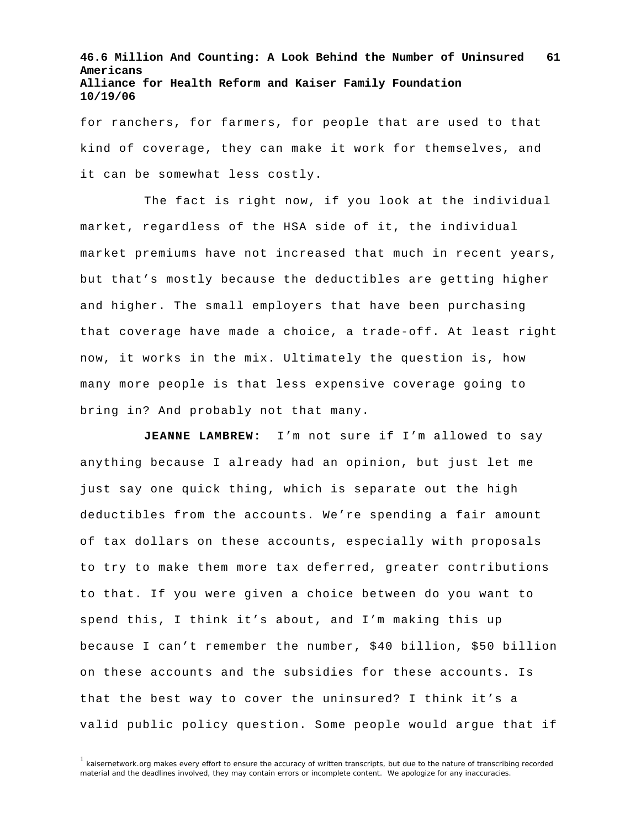for ranchers, for farmers, for people that are used to that kind of coverage, they can make it work for themselves, and it can be somewhat less costly.

The fact is right now, if you look at the individual market, regardless of the HSA side of it, the individual market premiums have not increased that much in recent years, but that's mostly because the deductibles are getting higher and higher. The small employers that have been purchasing that coverage have made a choice, a trade-off. At least right now, it works in the mix. Ultimately the question is, how many more people is that less expensive coverage going to bring in? And probably not that many.

**JEANNE LAMBREW:** I'm not sure if I'm allowed to say anything because I already had an opinion, but just let me just say one quick thing, which is separate out the high deductibles from the accounts. We're spending a fair amount of tax dollars on these accounts, especially with proposals to try to make them more tax deferred, greater contributions to that. If you were given a choice between do you want to spend this, I think it's about, and I'm making this up because I can't remember the number, \$40 billion, \$50 billion on these accounts and the subsidies for these accounts. Is that the best way to cover the uninsured? I think it's a valid public policy question. Some people would argue that if

 $1$  kaisernetwork.org makes every effort to ensure the accuracy of written transcripts, but due to the nature of transcribing recorded material and the deadlines involved, they may contain errors or incomplete content. We apologize for any inaccuracies.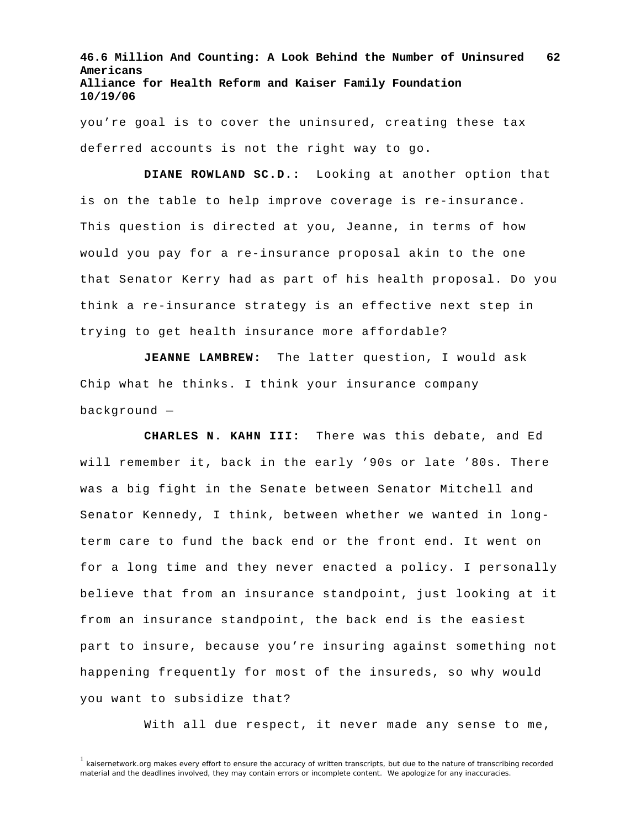you're goal is to cover the uninsured, creating these tax deferred accounts is not the right way to go.

**DIANE ROWLAND SC.D.:** Looking at another option that is on the table to help improve coverage is re-insurance. This question is directed at you, Jeanne, in terms of how would you pay for a re-insurance proposal akin to the one that Senator Kerry had as part of his health proposal. Do you think a re-insurance strategy is an effective next step in trying to get health insurance more affordable?

**JEANNE LAMBREW:** The latter question, I would ask Chip what he thinks. I think your insurance company background —

**CHARLES N. KAHN III:** There was this debate, and Ed will remember it, back in the early '90s or late '80s. There was a big fight in the Senate between Senator Mitchell and Senator Kennedy, I think, between whether we wanted in longterm care to fund the back end or the front end. It went on for a long time and they never enacted a policy. I personally believe that from an insurance standpoint, just looking at it from an insurance standpoint, the back end is the easiest part to insure, because you're insuring against something not happening frequently for most of the insureds, so why would you want to subsidize that?

With all due respect, it never made any sense to me,

<sup>&</sup>lt;sup>1</sup> kaisernetwork.org makes every effort to ensure the accuracy of written transcripts, but due to the nature of transcribing recorded material and the deadlines involved, they may contain errors or incomplete content. We apologize for any inaccuracies.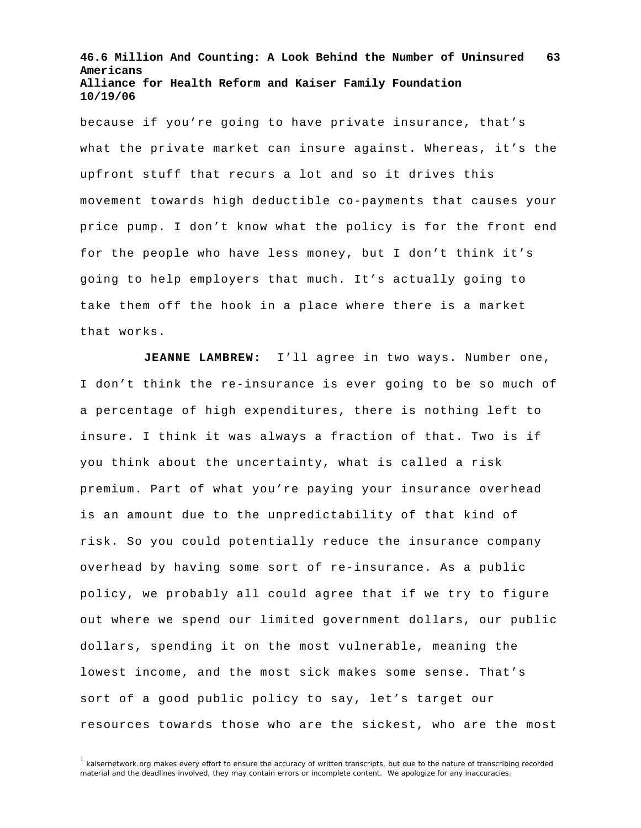because if you're going to have private insurance, that's what the private market can insure against. Whereas, it's the upfront stuff that recurs a lot and so it drives this movement towards high deductible co-payments that causes your price pump. I don't know what the policy is for the front end for the people who have less money, but I don't think it's going to help employers that much. It's actually going to take them off the hook in a place where there is a market that works.

**JEANNE LAMBREW:** I'll agree in two ways. Number one, I don't think the re-insurance is ever going to be so much of a percentage of high expenditures, there is nothing left to insure. I think it was always a fraction of that. Two is if you think about the uncertainty, what is called a risk premium. Part of what you're paying your insurance overhead is an amount due to the unpredictability of that kind of risk. So you could potentially reduce the insurance company overhead by having some sort of re-insurance. As a public policy, we probably all could agree that if we try to figure out where we spend our limited government dollars, our public dollars, spending it on the most vulnerable, meaning the lowest income, and the most sick makes some sense. That's sort of a good public policy to say, let's target our resources towards those who are the sickest, who are the most

<sup>&</sup>lt;sup>1</sup> kaisernetwork.org makes every effort to ensure the accuracy of written transcripts, but due to the nature of transcribing recorded material and the deadlines involved, they may contain errors or incomplete content. We apologize for any inaccuracies.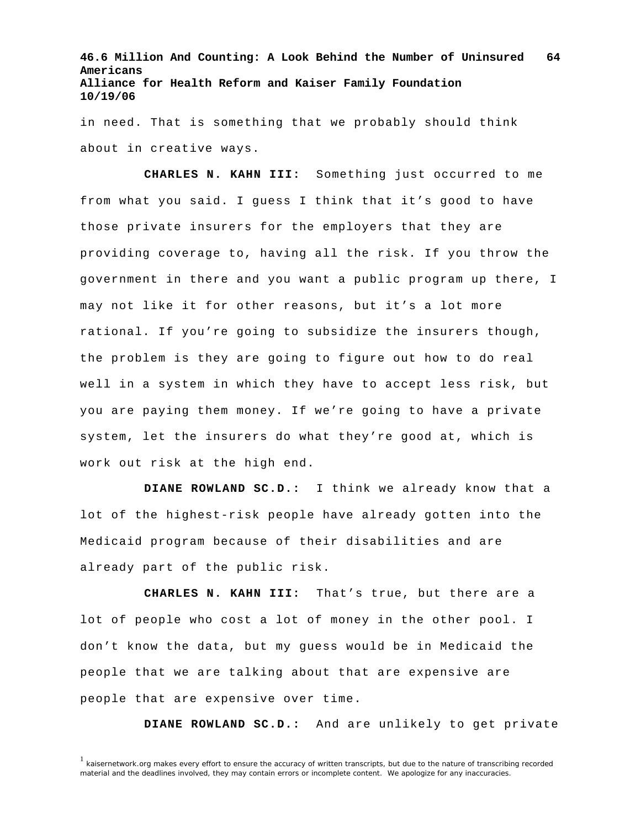in need. That is something that we probably should think about in creative ways.

**CHARLES N. KAHN III:** Something just occurred to me from what you said. I guess I think that it's good to have those private insurers for the employers that they are providing coverage to, having all the risk. If you throw the government in there and you want a public program up there, I may not like it for other reasons, but it's a lot more rational. If you're going to subsidize the insurers though, the problem is they are going to figure out how to do real well in a system in which they have to accept less risk, but you are paying them money. If we're going to have a private system, let the insurers do what they're good at, which is work out risk at the high end.

**DIANE ROWLAND SC.D.:** I think we already know that a lot of the highest-risk people have already gotten into the Medicaid program because of their disabilities and are already part of the public risk.

**CHARLES N. KAHN III:** That's true, but there are a lot of people who cost a lot of money in the other pool. I don't know the data, but my guess would be in Medicaid the people that we are talking about that are expensive are people that are expensive over time.

**DIANE ROWLAND SC.D.:** And are unlikely to get private

<sup>&</sup>lt;sup>1</sup> kaisernetwork.org makes every effort to ensure the accuracy of written transcripts, but due to the nature of transcribing recorded material and the deadlines involved, they may contain errors or incomplete content. We apologize for any inaccuracies.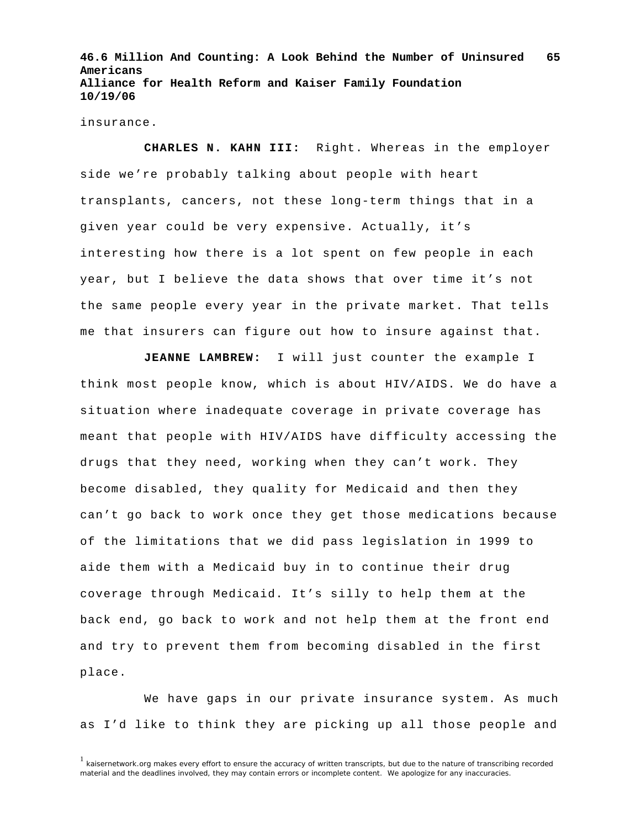insurance.

**CHARLES N. KAHN III:** Right. Whereas in the employer side we're probably talking about people with heart transplants, cancers, not these long-term things that in a given year could be very expensive. Actually, it's interesting how there is a lot spent on few people in each year, but I believe the data shows that over time it's not the same people every year in the private market. That tells me that insurers can figure out how to insure against that.

**JEANNE LAMBREW:** I will just counter the example I think most people know, which is about HIV/AIDS. We do have a situation where inadequate coverage in private coverage has meant that people with HIV/AIDS have difficulty accessing the drugs that they need, working when they can't work. They become disabled, they quality for Medicaid and then they can't go back to work once they get those medications because of the limitations that we did pass legislation in 1999 to aide them with a Medicaid buy in to continue their drug coverage through Medicaid. It's silly to help them at the back end, go back to work and not help them at the front end and try to prevent them from becoming disabled in the first place.

We have gaps in our private insurance system. As much as I'd like to think they are picking up all those people and

<sup>&</sup>lt;sup>1</sup> kaisernetwork.org makes every effort to ensure the accuracy of written transcripts, but due to the nature of transcribing recorded material and the deadlines involved, they may contain errors or incomplete content. We apologize for any inaccuracies.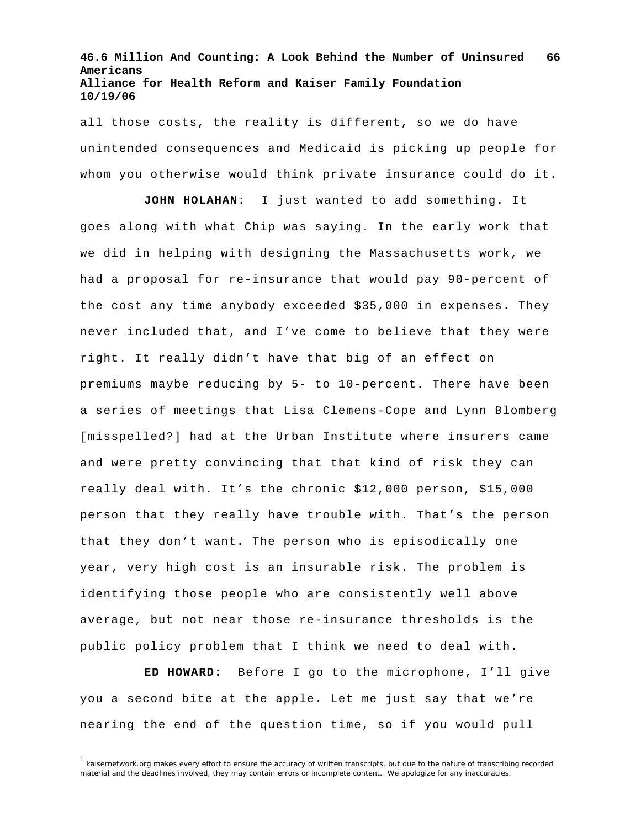all those costs, the reality is different, so we do have unintended consequences and Medicaid is picking up people for whom you otherwise would think private insurance could do it.

**JOHN HOLAHAN:** I just wanted to add something. It goes along with what Chip was saying. In the early work that we did in helping with designing the Massachusetts work, we had a proposal for re-insurance that would pay 90-percent of the cost any time anybody exceeded \$35,000 in expenses. They never included that, and I've come to believe that they were right. It really didn't have that big of an effect on premiums maybe reducing by 5- to 10-percent. There have been a series of meetings that Lisa Clemens-Cope and Lynn Blomberg [misspelled?] had at the Urban Institute where insurers came and were pretty convincing that that kind of risk they can really deal with. It's the chronic \$12,000 person, \$15,000 person that they really have trouble with. That's the person that they don't want. The person who is episodically one year, very high cost is an insurable risk. The problem is identifying those people who are consistently well above average, but not near those re-insurance thresholds is the public policy problem that I think we need to deal with.

**ED HOWARD:** Before I go to the microphone, I'll give you a second bite at the apple. Let me just say that we're nearing the end of the question time, so if you would pull

<sup>&</sup>lt;sup>1</sup> kaisernetwork.org makes every effort to ensure the accuracy of written transcripts, but due to the nature of transcribing recorded material and the deadlines involved, they may contain errors or incomplete content. We apologize for any inaccuracies.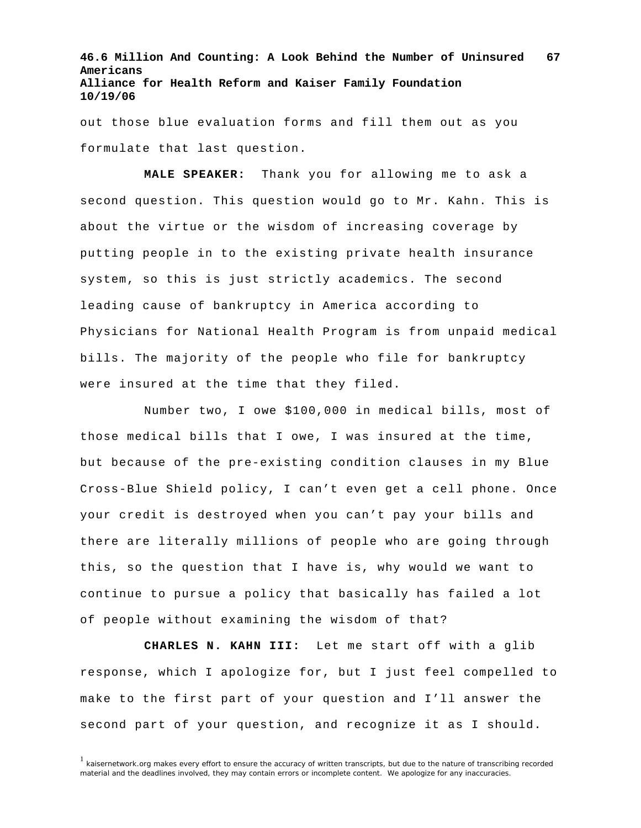out those blue evaluation forms and fill them out as you formulate that last question.

**MALE SPEAKER:** Thank you for allowing me to ask a second question. This question would go to Mr. Kahn. This is about the virtue or the wisdom of increasing coverage by putting people in to the existing private health insurance system, so this is just strictly academics. The second leading cause of bankruptcy in America according to Physicians for National Health Program is from unpaid medical bills. The majority of the people who file for bankruptcy were insured at the time that they filed.

Number two, I owe \$100,000 in medical bills, most of those medical bills that I owe, I was insured at the time, but because of the pre-existing condition clauses in my Blue Cross-Blue Shield policy, I can't even get a cell phone. Once your credit is destroyed when you can't pay your bills and there are literally millions of people who are going through this, so the question that I have is, why would we want to continue to pursue a policy that basically has failed a lot of people without examining the wisdom of that?

**CHARLES N. KAHN III:** Let me start off with a glib response, which I apologize for, but I just feel compelled to make to the first part of your question and I'll answer the second part of your question, and recognize it as I should.

 $1$  kaisernetwork.org makes every effort to ensure the accuracy of written transcripts, but due to the nature of transcribing recorded material and the deadlines involved, they may contain errors or incomplete content. We apologize for any inaccuracies.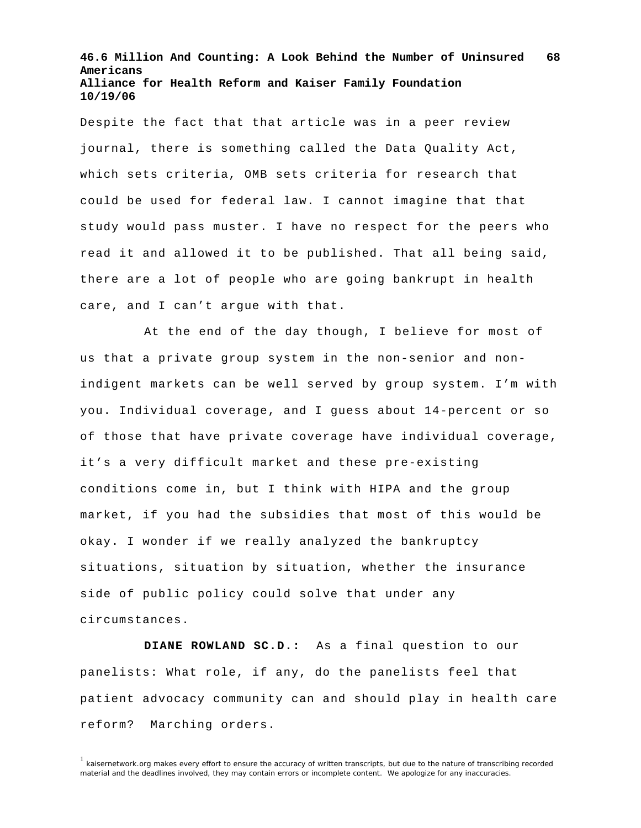Despite the fact that that article was in a peer review journal, there is something called the Data Quality Act, which sets criteria, OMB sets criteria for research that could be used for federal law. I cannot imagine that that study would pass muster. I have no respect for the peers who read it and allowed it to be published. That all being said, there are a lot of people who are going bankrupt in health care, and I can't argue with that.

At the end of the day though, I believe for most of us that a private group system in the non-senior and nonindigent markets can be well served by group system. I'm with you. Individual coverage, and I guess about 14-percent or so of those that have private coverage have individual coverage, it's a very difficult market and these pre-existing conditions come in, but I think with HIPA and the group market, if you had the subsidies that most of this would be okay. I wonder if we really analyzed the bankruptcy situations, situation by situation, whether the insurance side of public policy could solve that under any circumstances.

**DIANE ROWLAND SC.D.:** As a final question to our panelists: What role, if any, do the panelists feel that patient advocacy community can and should play in health care reform? Marching orders.

<sup>&</sup>lt;sup>1</sup> kaisernetwork.org makes every effort to ensure the accuracy of written transcripts, but due to the nature of transcribing recorded material and the deadlines involved, they may contain errors or incomplete content. We apologize for any inaccuracies.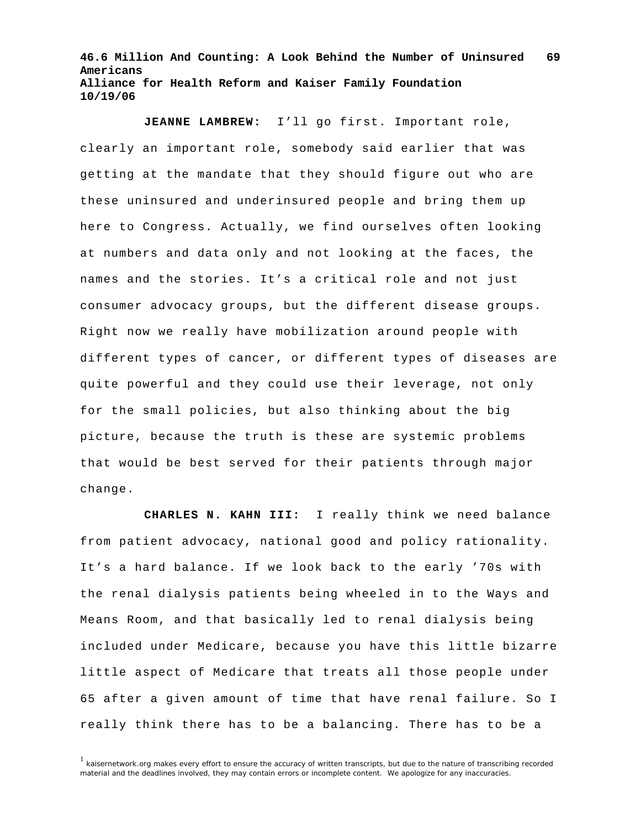**JEANNE LAMBREW:** I'll go first. Important role, clearly an important role, somebody said earlier that was getting at the mandate that they should figure out who are these uninsured and underinsured people and bring them up here to Congress. Actually, we find ourselves often looking at numbers and data only and not looking at the faces, the names and the stories. It's a critical role and not just consumer advocacy groups, but the different disease groups. Right now we really have mobilization around people with different types of cancer, or different types of diseases are quite powerful and they could use their leverage, not only for the small policies, but also thinking about the big picture, because the truth is these are systemic problems that would be best served for their patients through major change.

**CHARLES N. KAHN III:** I really think we need balance from patient advocacy, national good and policy rationality. It's a hard balance. If we look back to the early '70s with the renal dialysis patients being wheeled in to the Ways and Means Room, and that basically led to renal dialysis being included under Medicare, because you have this little bizarre little aspect of Medicare that treats all those people under 65 after a given amount of time that have renal failure. So I really think there has to be a balancing. There has to be a

<sup>&</sup>lt;sup>1</sup> kaisernetwork.org makes every effort to ensure the accuracy of written transcripts, but due to the nature of transcribing recorded material and the deadlines involved, they may contain errors or incomplete content. We apologize for any inaccuracies.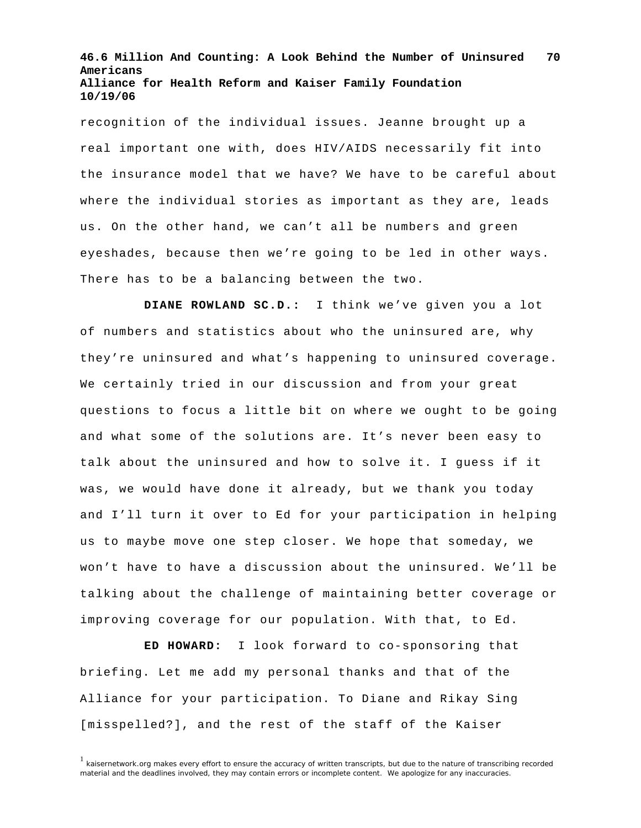recognition of the individual issues. Jeanne brought up a real important one with, does HIV/AIDS necessarily fit into the insurance model that we have? We have to be careful about where the individual stories as important as they are, leads us. On the other hand, we can't all be numbers and green eyeshades, because then we're going to be led in other ways. There has to be a balancing between the two.

**DIANE ROWLAND SC.D.:** I think we've given you a lot of numbers and statistics about who the uninsured are, why they're uninsured and what's happening to uninsured coverage. We certainly tried in our discussion and from your great questions to focus a little bit on where we ought to be going and what some of the solutions are. It's never been easy to talk about the uninsured and how to solve it. I guess if it was, we would have done it already, but we thank you today and I'll turn it over to Ed for your participation in helping us to maybe move one step closer. We hope that someday, we won't have to have a discussion about the uninsured. We'll be talking about the challenge of maintaining better coverage or improving coverage for our population. With that, to Ed.

**ED HOWARD:** I look forward to co-sponsoring that briefing. Let me add my personal thanks and that of the Alliance for your participation. To Diane and Rikay Sing [misspelled?], and the rest of the staff of the Kaiser

<sup>&</sup>lt;sup>1</sup> kaisernetwork.org makes every effort to ensure the accuracy of written transcripts, but due to the nature of transcribing recorded material and the deadlines involved, they may contain errors or incomplete content. We apologize for any inaccuracies.